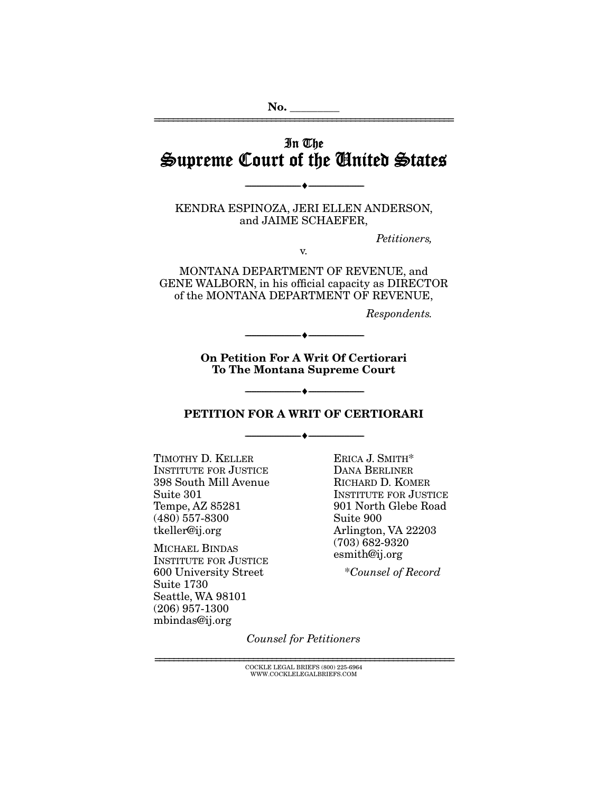In The Supreme Court of the United States

================================================================

No.

KENDRA ESPINOZA, JERI ELLEN ANDERSON, and JAIME SCHAEFER,

--------------------------------- ---------------------------------

*Petitioners,* 

v.

MONTANA DEPARTMENT OF REVENUE, and GENE WALBORN, in his official capacity as DIRECTOR of the MONTANA DEPARTMENT OF REVENUE,

*Respondents.* 

On Petition For A Writ Of Certiorari To The Montana Supreme Court

--------------------------------- ---------------------------------

#### PETITION FOR A WRIT OF CERTIORARI

--------------------------------- ---------------------------------

 $\overline{\phantom{m}}$  +  $\overline{\phantom{m}}$ 

TIMOTHY D. KELLER INSTITUTE FOR JUSTICE 398 South Mill Avenue Suite 301 Tempe, AZ 85281 (480) 557-8300 tkeller@ij.org

MICHAEL BINDAS INSTITUTE FOR JUSTICE 600 University Street Suite 1730 Seattle, WA 98101 (206) 957-1300 mbindas@ij.org

ERICA J. SMITH\* DANA BERLINER RICHARD D. KOMER INSTITUTE FOR JUSTICE 901 North Glebe Road Suite 900 Arlington, VA 22203 (703) 682-9320 esmith@ij.org

\**Counsel of Record*

*Counsel for Petitioners* 

================================================================ COCKLE LEGAL BRIEFS (800) 225-6964 WWW.COCKLELEGALBRIEFS.COM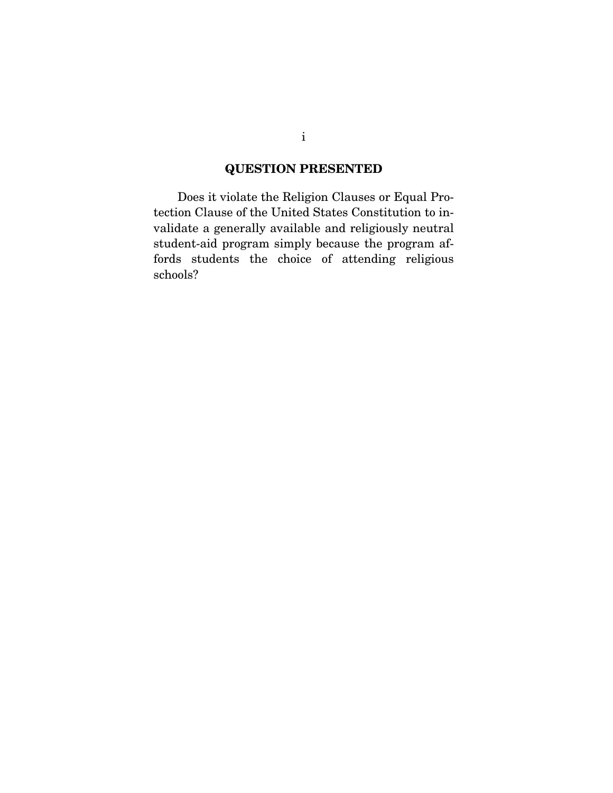## QUESTION PRESENTED

 Does it violate the Religion Clauses or Equal Protection Clause of the United States Constitution to invalidate a generally available and religiously neutral student-aid program simply because the program affords students the choice of attending religious schools?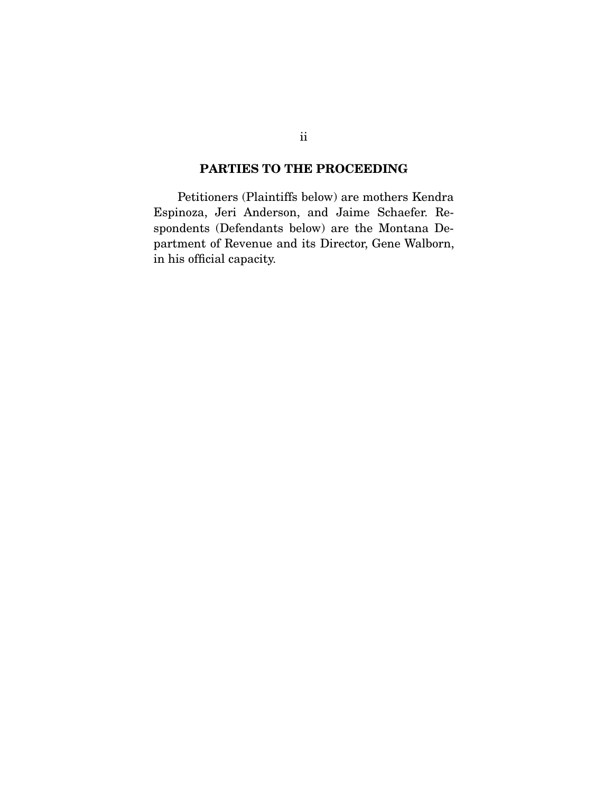## PARTIES TO THE PROCEEDING

 Petitioners (Plaintiffs below) are mothers Kendra Espinoza, Jeri Anderson, and Jaime Schaefer. Respondents (Defendants below) are the Montana Department of Revenue and its Director, Gene Walborn, in his official capacity.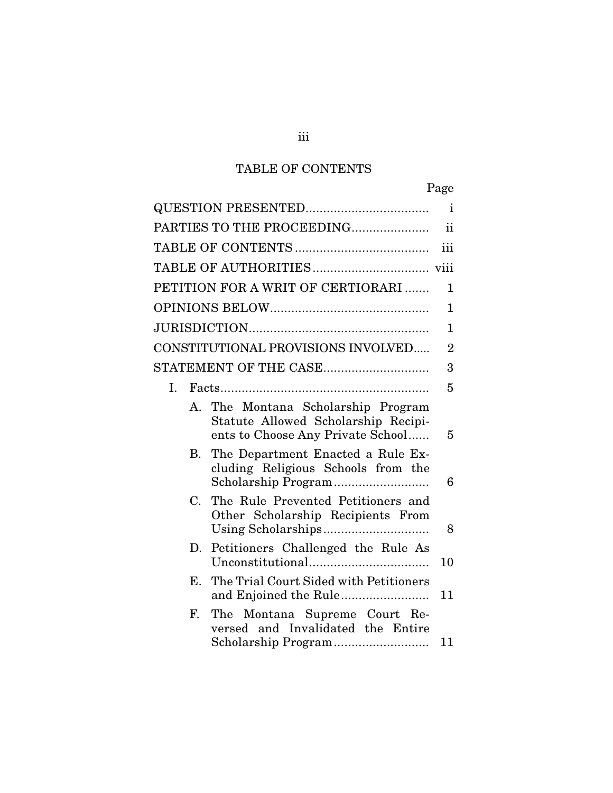# TABLE OF CONTENTS

|             |                                                                                                                | Page           |
|-------------|----------------------------------------------------------------------------------------------------------------|----------------|
|             |                                                                                                                | $\mathbf{i}$   |
|             | PARTIES TO THE PROCEEDING                                                                                      | $\mathbf{ii}$  |
|             |                                                                                                                | iii            |
|             |                                                                                                                |                |
|             | PETITION FOR A WRIT OF CERTIORARI                                                                              | 1              |
|             |                                                                                                                | $\mathbf{1}$   |
|             |                                                                                                                | $\mathbf{1}$   |
|             | CONSTITUTIONAL PROVISIONS INVOLVED                                                                             | $\overline{2}$ |
|             |                                                                                                                | 3              |
| I.          |                                                                                                                | 5              |
|             | A. The Montana Scholarship Program<br>Statute Allowed Scholarship Recipi-<br>ents to Choose Any Private School | 5              |
| В.          | The Department Enacted a Rule Ex-<br>cluding Religious Schools from the                                        | 6              |
| $C_{\cdot}$ | The Rule Prevented Petitioners and<br>Other Scholarship Recipients From                                        | 8              |
| D.          | Petitioners Challenged the Rule As                                                                             | 10             |
| Е.          | The Trial Court Sided with Petitioners                                                                         | 11             |
| F.          | The Montana Supreme Court Re-<br>versed and Invalidated the Entire<br>Scholarship Program                      | 11             |

iii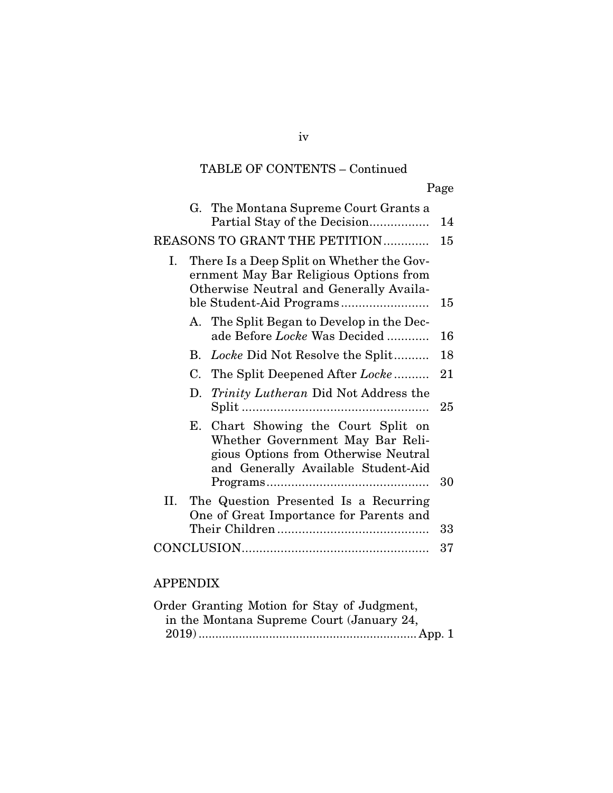|    |    | G. The Montana Supreme Court Grants a<br>Partial Stay of the Decision                                                                                  | 14 |
|----|----|--------------------------------------------------------------------------------------------------------------------------------------------------------|----|
|    |    | <b>REASONS TO GRANT THE PETITION</b>                                                                                                                   | 15 |
| Ι. |    | There Is a Deep Split on Whether the Gov-<br>ernment May Bar Religious Options from<br>Otherwise Neutral and Generally Availa-                         | 15 |
|    |    | A. The Split Began to Develop in the Dec-<br>ade Before Locke Was Decided                                                                              | 16 |
|    | B. | Locke Did Not Resolve the Split                                                                                                                        | 18 |
|    |    | C. The Split Deepened After Locke                                                                                                                      | 21 |
|    | D. | <i>Trinity Lutheran</i> Did Not Address the                                                                                                            | 25 |
|    |    | E. Chart Showing the Court Split on<br>Whether Government May Bar Reli-<br>gious Options from Otherwise Neutral<br>and Generally Available Student-Aid | 30 |
| П. |    | The Question Presented Is a Recurring<br>One of Great Importance for Parents and                                                                       | 33 |
|    |    |                                                                                                                                                        | 37 |
|    |    |                                                                                                                                                        |    |

## APPENDIX

| Order Granting Motion for Stay of Judgment, |  |  |
|---------------------------------------------|--|--|
| in the Montana Supreme Court (January 24,   |  |  |
|                                             |  |  |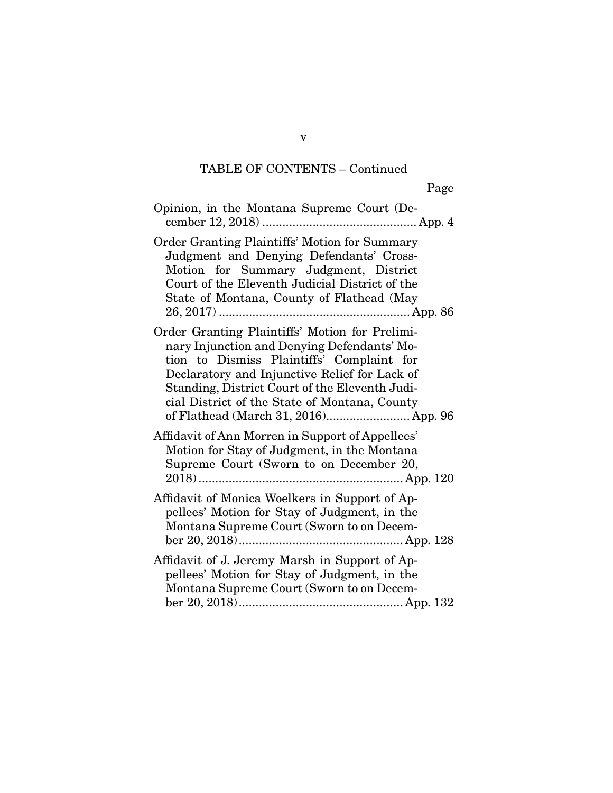| Opinion, in the Montana Supreme Court (De-                                                                                                                                                                                                                                                                                             |
|----------------------------------------------------------------------------------------------------------------------------------------------------------------------------------------------------------------------------------------------------------------------------------------------------------------------------------------|
| <b>Order Granting Plaintiffs' Motion for Summary</b><br>Judgment and Denying Defendants' Cross-<br>Motion for Summary Judgment, District<br>Court of the Eleventh Judicial District of the<br>State of Montana, County of Flathead (May                                                                                                |
| Order Granting Plaintiffs' Motion for Prelimi-<br>nary Injunction and Denying Defendants' Mo-<br>tion to Dismiss Plaintiffs' Complaint for<br>Declaratory and Injunctive Relief for Lack of<br>Standing, District Court of the Eleventh Judi-<br>cial District of the State of Montana, County<br>of Flathead (March 31, 2016) App. 96 |
| Affidavit of Ann Morren in Support of Appellees'<br>Motion for Stay of Judgment, in the Montana<br>Supreme Court (Sworn to on December 20,                                                                                                                                                                                             |
| Affidavit of Monica Woelkers in Support of Ap-<br>pellees' Motion for Stay of Judgment, in the<br>Montana Supreme Court (Sworn to on Decem-                                                                                                                                                                                            |
| Affidavit of J. Jeremy Marsh in Support of Ap-<br>pellees' Motion for Stay of Judgment, in the<br>Montana Supreme Court (Sworn to on Decem-                                                                                                                                                                                            |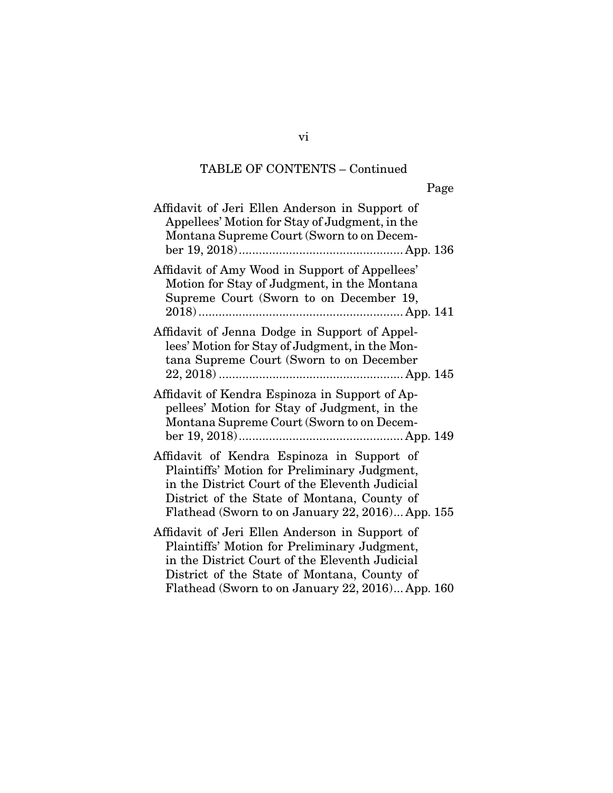Page

| Affidavit of Jeri Ellen Anderson in Support of<br>Appellees' Motion for Stay of Judgment, in the<br>Montana Supreme Court (Sworn to on Decem-                                                                                                       |
|-----------------------------------------------------------------------------------------------------------------------------------------------------------------------------------------------------------------------------------------------------|
| Affidavit of Amy Wood in Support of Appellees'<br>Motion for Stay of Judgment, in the Montana<br>Supreme Court (Sworn to on December 19,                                                                                                            |
| Affidavit of Jenna Dodge in Support of Appel-<br>lees' Motion for Stay of Judgment, in the Mon-<br>tana Supreme Court (Sworn to on December                                                                                                         |
| Affidavit of Kendra Espinoza in Support of Ap-<br>pellees' Motion for Stay of Judgment, in the<br>Montana Supreme Court (Sworn to on Decem-                                                                                                         |
| Affidavit of Kendra Espinoza in Support of<br>Plaintiffs' Motion for Preliminary Judgment,<br>in the District Court of the Eleventh Judicial<br>District of the State of Montana, County of<br>Flathead (Sworn to on January 22, 2016) App. 155     |
| Affidavit of Jeri Ellen Anderson in Support of<br>Plaintiffs' Motion for Preliminary Judgment,<br>in the District Court of the Eleventh Judicial<br>District of the State of Montana, County of<br>Flathead (Sworn to on January 22, 2016) App. 160 |

vi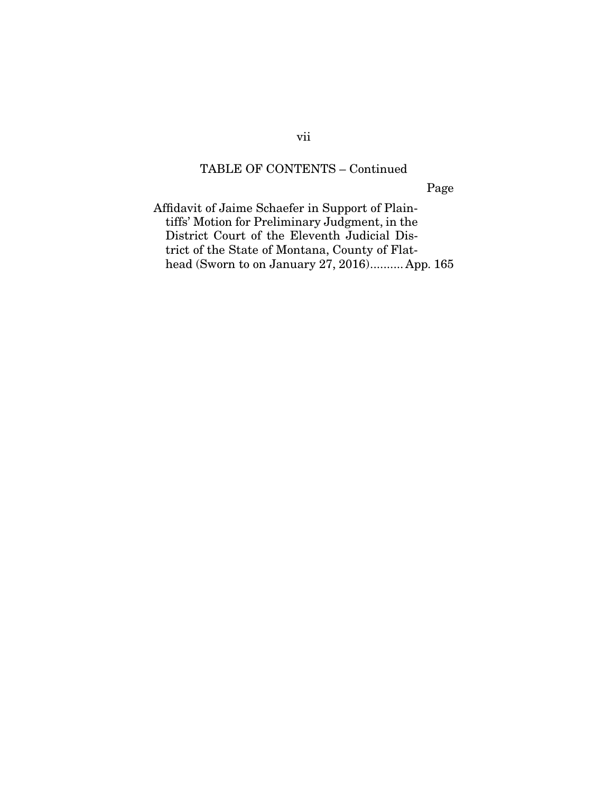Page

Affidavit of Jaime Schaefer in Support of Plaintiffs' Motion for Preliminary Judgment, in the District Court of the Eleventh Judicial District of the State of Montana, County of Flathead (Sworn to on January 27, 2016) .......... App. 165

vii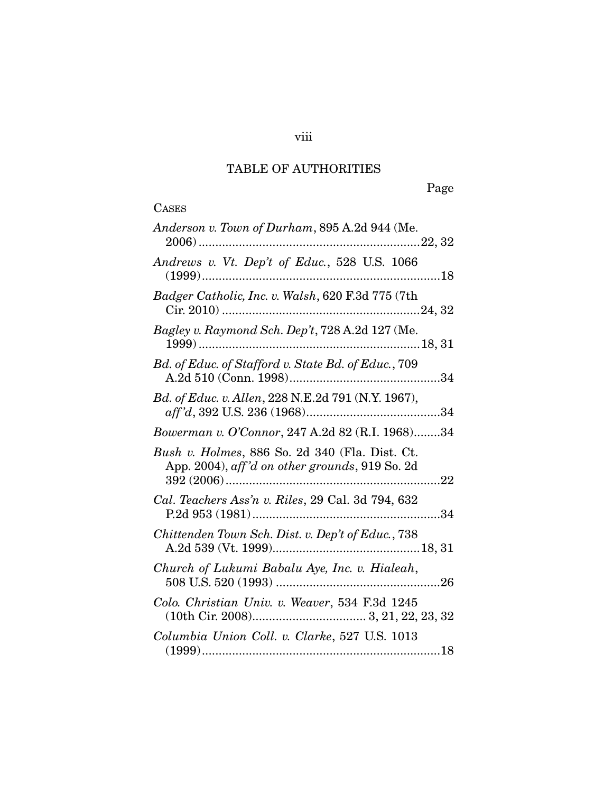# TABLE OF AUTHORITIES

# **CASES**

## viii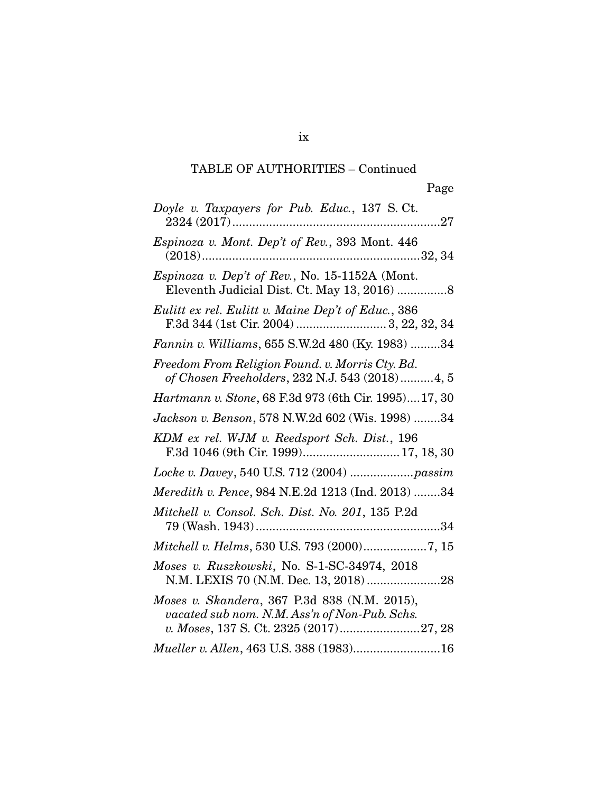| Doyle v. Taxpayers for Pub. Educ., 137 S.Ct.                                                      |
|---------------------------------------------------------------------------------------------------|
| Espinoza v. Mont. Dep't of Rev., 393 Mont. 446                                                    |
| Espinoza v. Dep't of Rev., No. 15-1152A (Mont.<br>Eleventh Judicial Dist. Ct. May 13, 2016)  8    |
| Eulitt ex rel. Eulitt v. Maine Dep't of Educ., 386                                                |
| Fannin v. Williams, 655 S.W.2d 480 (Ky. 1983) 34                                                  |
| Freedom From Religion Found. v. Morris Cty. Bd.<br>of Chosen Freeholders, 232 N.J. 543 (2018)4, 5 |
| Hartmann v. Stone, 68 F.3d 973 (6th Cir. 1995)17, 30                                              |
| Jackson v. Benson, 578 N.W.2d 602 (Wis. 1998) 34                                                  |
| KDM ex rel. WJM v. Reedsport Sch. Dist., 196<br>F.3d 1046 (9th Cir. 1999) 17, 18, 30              |
|                                                                                                   |
| Meredith v. Pence, 984 N.E.2d 1213 (Ind. 2013) 34                                                 |
| Mitchell v. Consol. Sch. Dist. No. 201, 135 P.2d                                                  |
| Mitchell v. Helms, 530 U.S. 793 (2000)7, 15                                                       |
|                                                                                                   |
| Moses v. Ruszkowski, No. S-1-SC-34974, 2018<br>N.M. LEXIS 70 (N.M. Dec. 13, 2018) 28              |
| Moses v. Skandera, 367 P.3d 838 (N.M. 2015),<br>vacated sub nom. N.M. Ass'n of Non-Pub. Schs.     |

ix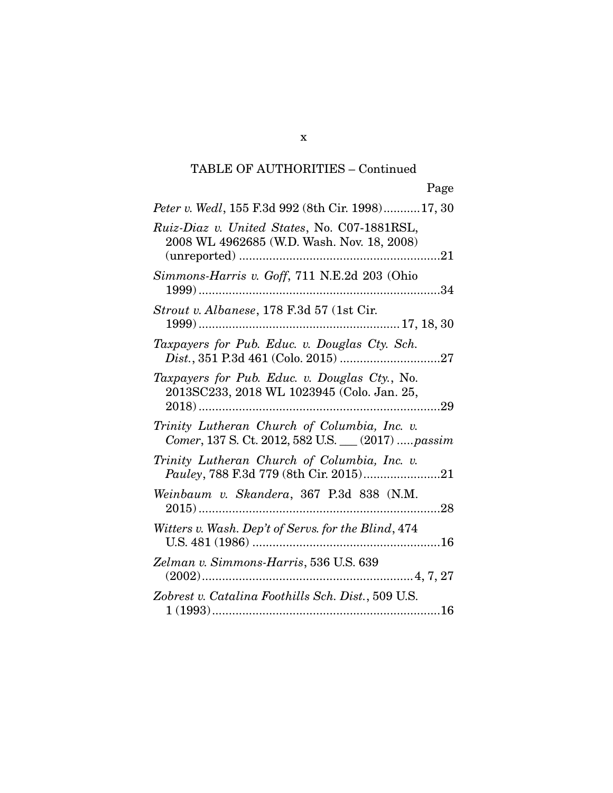x

| <i>Peter v. Wedl</i> , 155 F.3d 992 (8th Cir. 1998)17, 30                                          |
|----------------------------------------------------------------------------------------------------|
| Ruiz-Diaz v. United States, No. C07-1881RSL,<br>2008 WL 4962685 (W.D. Wash. Nov. 18, 2008)         |
| Simmons-Harris v. Goff, 711 N.E.2d 203 (Ohio                                                       |
| Strout v. Albanese, 178 F.3d 57 (1st Cir.                                                          |
| Taxpayers for Pub. Educ. v. Douglas Cty. Sch.                                                      |
| Taxpayers for Pub. Educ. v. Douglas Cty., No.<br>2013SC233, 2018 WL 1023945 (Colo. Jan. 25,<br>.29 |
| Trinity Lutheran Church of Columbia, Inc. v.<br>Comer, 137 S. Ct. 2012, 582 U.S. __ (2017)  passim |
| Trinity Lutheran Church of Columbia, Inc. v.                                                       |
| Weinbaum v. Skandera, 367 P.3d 838 (N.M.                                                           |
| Witters v. Wash. Dep't of Servs. for the Blind, 474                                                |
| Zelman v. Simmons-Harris, 536 U.S. 639                                                             |
| Zobrest v. Catalina Foothills Sch. Dist., 509 U.S.                                                 |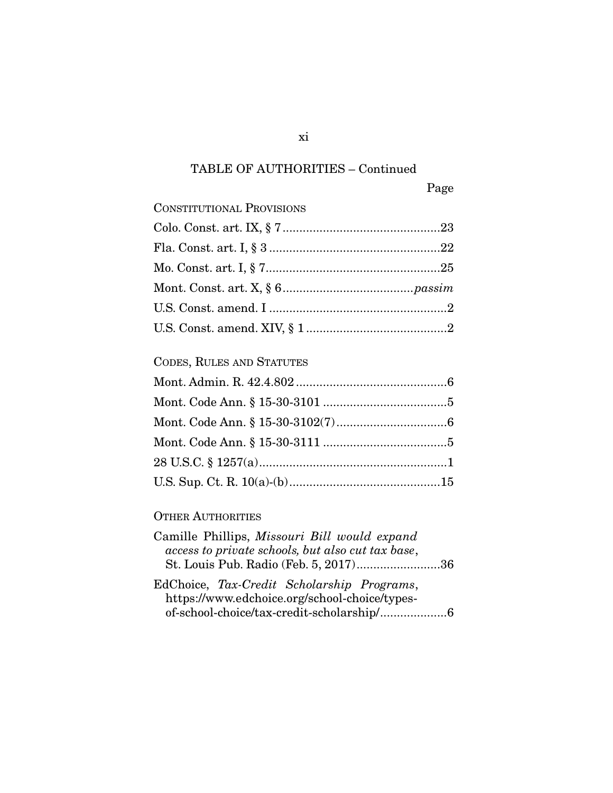| <b>CONSTITUTIONAL PROVISIONS</b> |  |
|----------------------------------|--|
|                                  |  |
|                                  |  |
|                                  |  |
|                                  |  |
|                                  |  |
|                                  |  |
| CODES, RULES AND STATUTES        |  |
|                                  |  |
|                                  |  |
|                                  |  |
|                                  |  |
|                                  |  |
|                                  |  |
|                                  |  |

## OTHER AUTHORITIES

| Camille Phillips, Missouri Bill would expand      |  |
|---------------------------------------------------|--|
| access to private schools, but also cut tax base, |  |
| St. Louis Pub. Radio (Feb. 5, 2017)36             |  |
| EdChoice, Tax-Credit Scholarship Programs,        |  |
| https://www.edchoice.org/school-choice/types-     |  |
| of-school-choice/tax-credit-scholarship/6         |  |

xi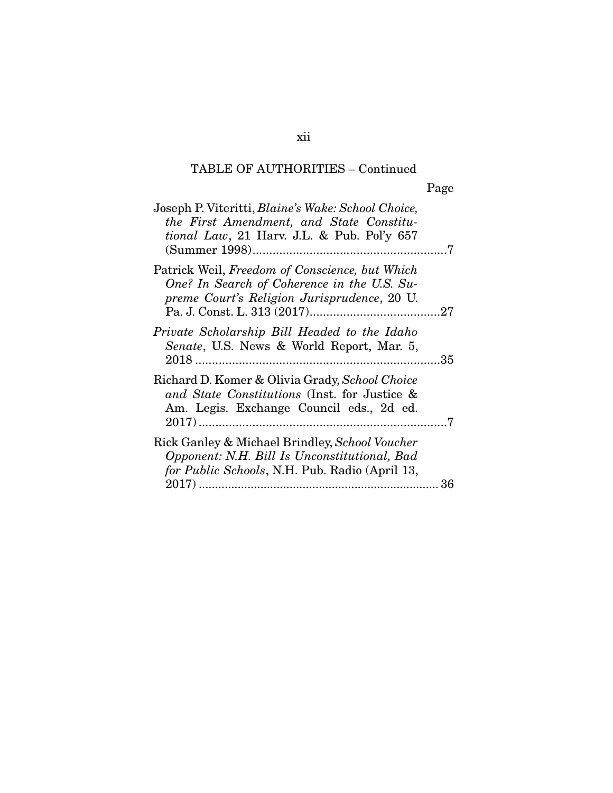| Joseph P. Viteritti, <i>Blaine's Wake: School Choice</i> ,<br>the First Amendment, and State Constitu-<br><i>tional Law</i> , 21 Harv. J.L. & Pub. Pol'y 657 |     |
|--------------------------------------------------------------------------------------------------------------------------------------------------------------|-----|
| Patrick Weil, Freedom of Conscience, but Which<br>One? In Search of Coherence in the U.S. Su-<br>preme Court's Religion Jurisprudence, 20 U.                 |     |
| Private Scholarship Bill Headed to the Idaho<br>Senate, U.S. News & World Report, Mar. 5,                                                                    | .35 |
| Richard D. Komer & Olivia Grady, School Choice<br>and State Constitutions (Inst. for Justice &<br>Am. Legis. Exchange Council eds., 2d ed.                   |     |
| Rick Ganley & Michael Brindley, School Voucher<br>Opponent: N.H. Bill Is Unconstitutional, Bad<br>for Public Schools, N.H. Pub. Radio (April 13,             |     |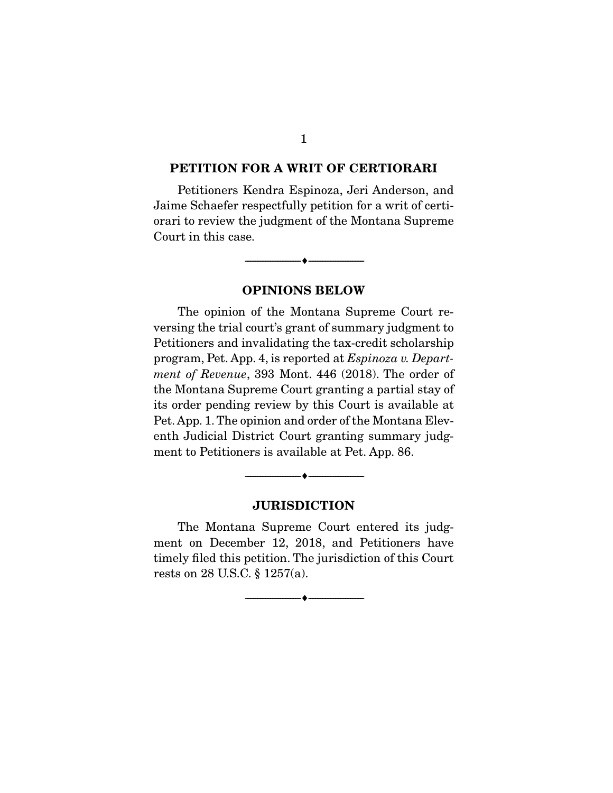#### PETITION FOR A WRIT OF CERTIORARI

 Petitioners Kendra Espinoza, Jeri Anderson, and Jaime Schaefer respectfully petition for a writ of certiorari to review the judgment of the Montana Supreme Court in this case.

--------------------------------- ---------------------------------

# OPINIONS BELOW

 The opinion of the Montana Supreme Court reversing the trial court's grant of summary judgment to Petitioners and invalidating the tax-credit scholarship program, Pet. App. 4, is reported at *Espinoza v. Department of Revenue*, 393 Mont. 446 (2018). The order of the Montana Supreme Court granting a partial stay of its order pending review by this Court is available at Pet. App. 1. The opinion and order of the Montana Eleventh Judicial District Court granting summary judgment to Petitioners is available at Pet. App. 86.

#### JURISDICTION

--------------------------------- ---------------------------------

 The Montana Supreme Court entered its judgment on December 12, 2018, and Petitioners have timely filed this petition. The jurisdiction of this Court rests on 28 U.S.C. § 1257(a).

--------------------------------- ---------------------------------

1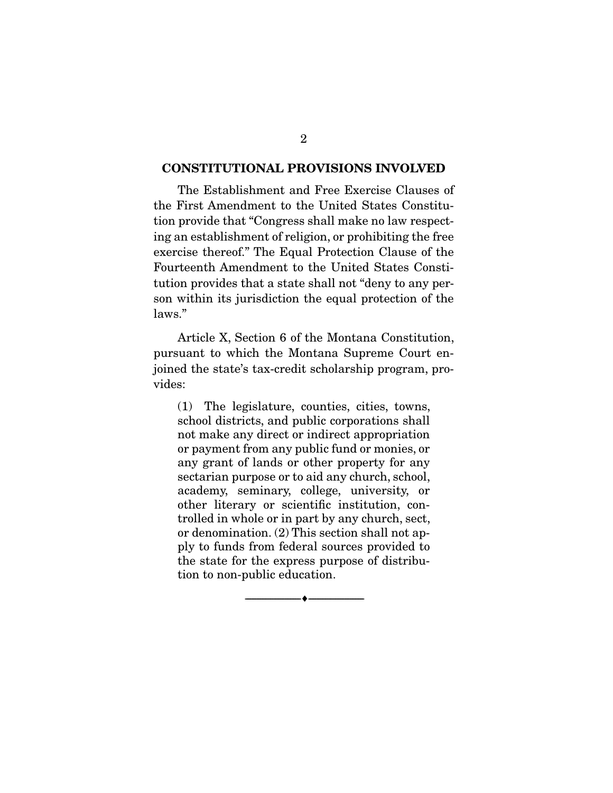#### CONSTITUTIONAL PROVISIONS INVOLVED

 The Establishment and Free Exercise Clauses of the First Amendment to the United States Constitution provide that "Congress shall make no law respecting an establishment of religion, or prohibiting the free exercise thereof." The Equal Protection Clause of the Fourteenth Amendment to the United States Constitution provides that a state shall not "deny to any person within its jurisdiction the equal protection of the laws."

 Article X, Section 6 of the Montana Constitution, pursuant to which the Montana Supreme Court enjoined the state's tax-credit scholarship program, provides:

(1) The legislature, counties, cities, towns, school districts, and public corporations shall not make any direct or indirect appropriation or payment from any public fund or monies, or any grant of lands or other property for any sectarian purpose or to aid any church, school, academy, seminary, college, university, or other literary or scientific institution, controlled in whole or in part by any church, sect, or denomination. (2) This section shall not apply to funds from federal sources provided to the state for the express purpose of distribution to non-public education.

--------------------------------- ---------------------------------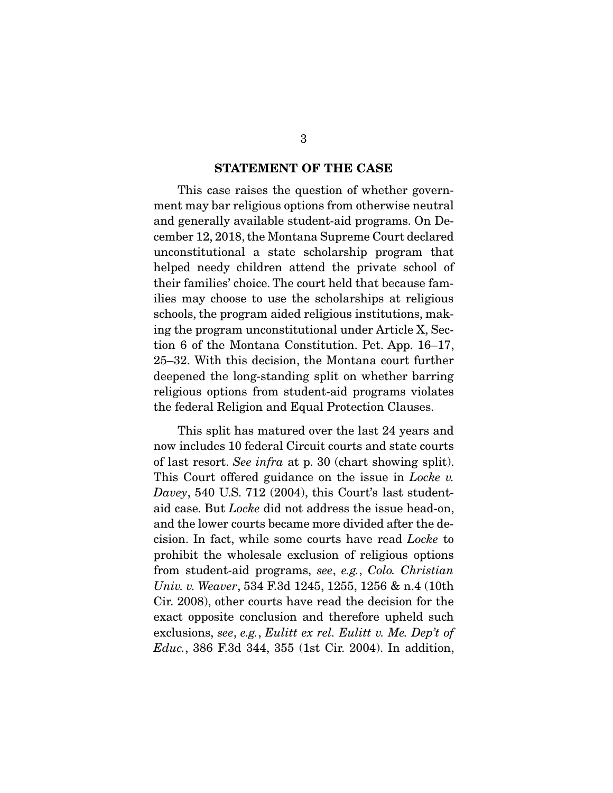#### STATEMENT OF THE CASE

 This case raises the question of whether government may bar religious options from otherwise neutral and generally available student-aid programs. On December 12, 2018, the Montana Supreme Court declared unconstitutional a state scholarship program that helped needy children attend the private school of their families' choice. The court held that because families may choose to use the scholarships at religious schools, the program aided religious institutions, making the program unconstitutional under Article X, Section 6 of the Montana Constitution. Pet. App. 16–17, 25–32. With this decision, the Montana court further deepened the long-standing split on whether barring religious options from student-aid programs violates the federal Religion and Equal Protection Clauses.

 This split has matured over the last 24 years and now includes 10 federal Circuit courts and state courts of last resort. *See infra* at p. 30 (chart showing split). This Court offered guidance on the issue in *Locke v. Davey*, 540 U.S. 712 (2004), this Court's last studentaid case. But *Locke* did not address the issue head-on, and the lower courts became more divided after the decision. In fact, while some courts have read *Locke* to prohibit the wholesale exclusion of religious options from student-aid programs, *see*, *e.g.*, *Colo. Christian Univ. v. Weaver*, 534 F.3d 1245, 1255, 1256 & n.4 (10th Cir. 2008), other courts have read the decision for the exact opposite conclusion and therefore upheld such exclusions, *see*, *e.g.*, *Eulitt ex rel. Eulitt v. Me. Dep't of Educ.*, 386 F.3d 344, 355 (1st Cir. 2004). In addition,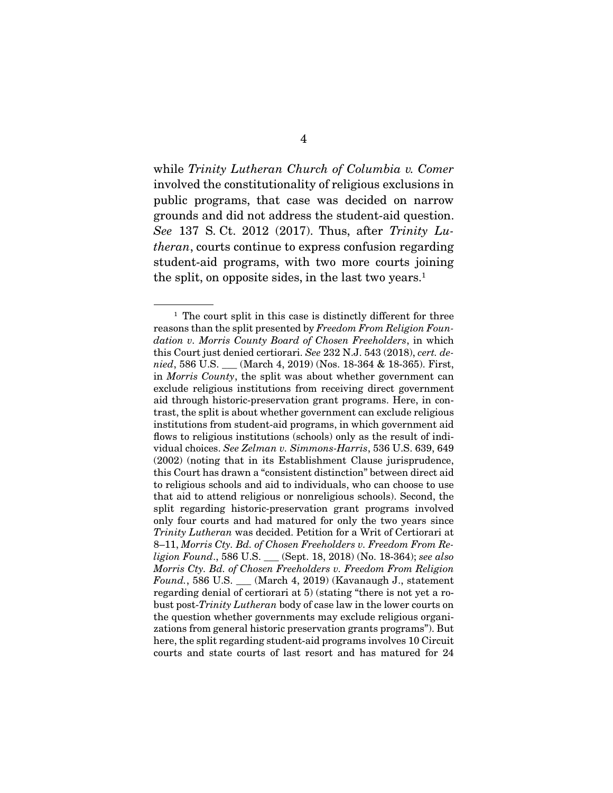while *Trinity Lutheran Church of Columbia v. Comer* involved the constitutionality of religious exclusions in public programs, that case was decided on narrow grounds and did not address the student-aid question. *See* 137 S. Ct. 2012 (2017). Thus, after *Trinity Lutheran*, courts continue to express confusion regarding student-aid programs, with two more courts joining the split, on opposite sides, in the last two years.<sup>1</sup>

 $1$  The court split in this case is distinctly different for three reasons than the split presented by *Freedom From Religion Foundation v. Morris County Board of Chosen Freeholders*, in which this Court just denied certiorari. *See* 232 N.J. 543 (2018), *cert. denied*, 586 U.S. \_\_\_ (March 4, 2019) (Nos. 18-364 & 18-365). First, in *Morris County*, the split was about whether government can exclude religious institutions from receiving direct government aid through historic-preservation grant programs. Here, in contrast, the split is about whether government can exclude religious institutions from student-aid programs, in which government aid flows to religious institutions (schools) only as the result of individual choices. *See Zelman v. Simmons-Harris*, 536 U.S. 639, 649 (2002) (noting that in its Establishment Clause jurisprudence, this Court has drawn a "consistent distinction" between direct aid to religious schools and aid to individuals, who can choose to use that aid to attend religious or nonreligious schools). Second, the split regarding historic-preservation grant programs involved only four courts and had matured for only the two years since *Trinity Lutheran* was decided. Petition for a Writ of Certiorari at 8–11, *Morris Cty. Bd. of Chosen Freeholders v. Freedom From Religion Found*., 586 U.S. \_\_\_ (Sept. 18, 2018) (No. 18-364); *see also Morris Cty. Bd. of Chosen Freeholders v. Freedom From Religion Found.*, 586 U.S. \_\_\_ (March 4, 2019) (Kavanaugh J., statement regarding denial of certiorari at 5) (stating "there is not yet a robust post-*Trinity Lutheran* body of case law in the lower courts on the question whether governments may exclude religious organizations from general historic preservation grants programs"). But here, the split regarding student-aid programs involves 10 Circuit courts and state courts of last resort and has matured for 24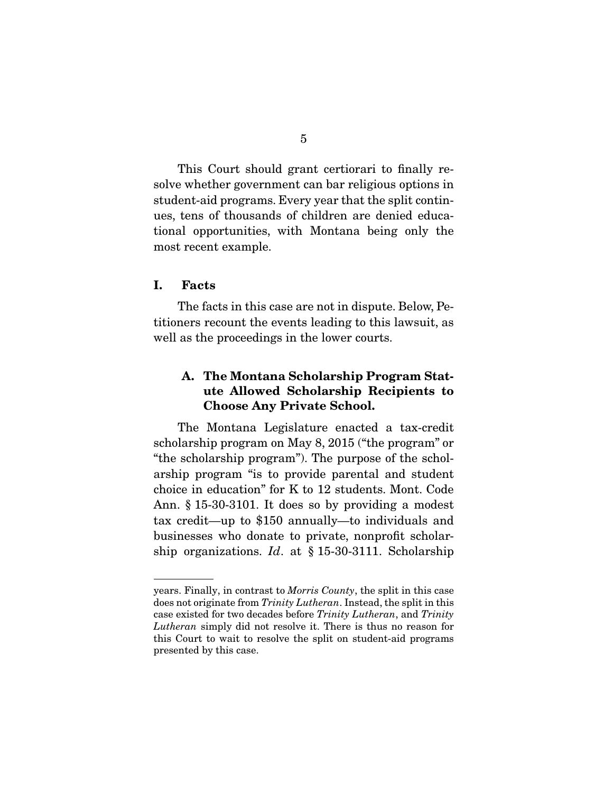This Court should grant certiorari to finally resolve whether government can bar religious options in student-aid programs. Every year that the split continues, tens of thousands of children are denied educational opportunities, with Montana being only the most recent example.

#### I. Facts

 The facts in this case are not in dispute. Below, Petitioners recount the events leading to this lawsuit, as well as the proceedings in the lower courts.

## A. The Montana Scholarship Program Statute Allowed Scholarship Recipients to Choose Any Private School.

 The Montana Legislature enacted a tax-credit scholarship program on May 8, 2015 ("the program" or "the scholarship program"). The purpose of the scholarship program "is to provide parental and student choice in education" for K to 12 students. Mont. Code Ann. § 15-30-3101. It does so by providing a modest tax credit—up to \$150 annually—to individuals and businesses who donate to private, nonprofit scholarship organizations. *Id*. at § 15-30-3111. Scholarship

years. Finally, in contrast to *Morris County*, the split in this case does not originate from *Trinity Lutheran*. Instead, the split in this case existed for two decades before *Trinity Lutheran*, and *Trinity Lutheran* simply did not resolve it. There is thus no reason for this Court to wait to resolve the split on student-aid programs presented by this case.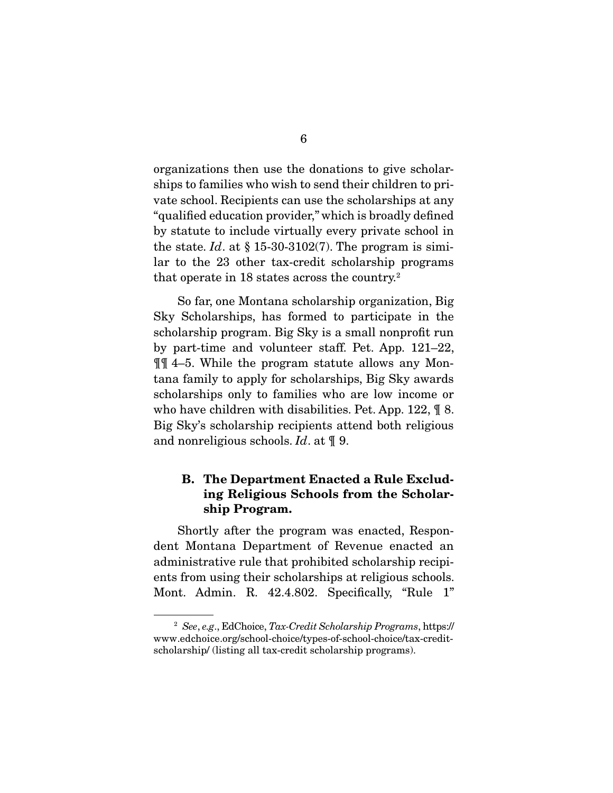organizations then use the donations to give scholarships to families who wish to send their children to private school. Recipients can use the scholarships at any "qualified education provider," which is broadly defined by statute to include virtually every private school in the state. *Id*. at  $\S 15{\text -}30{\text -}3102(7)$ . The program is similar to the 23 other tax-credit scholarship programs that operate in 18 states across the country.2

 So far, one Montana scholarship organization, Big Sky Scholarships, has formed to participate in the scholarship program. Big Sky is a small nonprofit run by part-time and volunteer staff. Pet. App. 121–22, ¶¶ 4–5. While the program statute allows any Montana family to apply for scholarships, Big Sky awards scholarships only to families who are low income or who have children with disabilities. Pet. App. 122, ¶ 8. Big Sky's scholarship recipients attend both religious and nonreligious schools. *Id*. at ¶ 9.

## B. The Department Enacted a Rule Excluding Religious Schools from the Scholarship Program.

 Shortly after the program was enacted, Respondent Montana Department of Revenue enacted an administrative rule that prohibited scholarship recipients from using their scholarships at religious schools. Mont. Admin. R. 42.4.802. Specifically, "Rule 1"

<sup>2</sup> *See*, *e.g*., EdChoice, *Tax-Credit Scholarship Programs*, https:// www.edchoice.org/school-choice/types-of-school-choice/tax-creditscholarship/ (listing all tax-credit scholarship programs).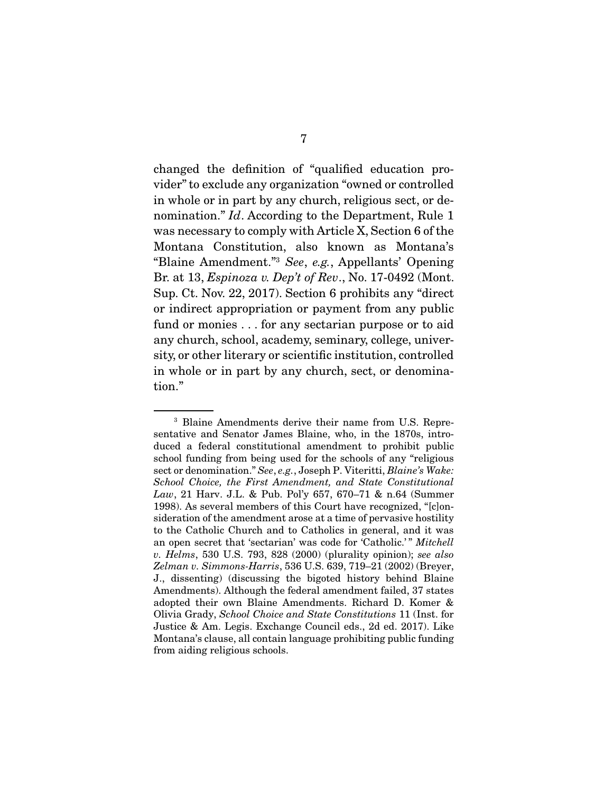changed the definition of "qualified education provider" to exclude any organization "owned or controlled in whole or in part by any church, religious sect, or denomination." *Id*. According to the Department, Rule 1 was necessary to comply with Article X, Section 6 of the Montana Constitution, also known as Montana's "Blaine Amendment."3 *See*, *e.g.*, Appellants' Opening Br. at 13, *Espinoza v. Dep't of Rev*., No. 17-0492 (Mont. Sup. Ct. Nov. 22, 2017). Section 6 prohibits any "direct or indirect appropriation or payment from any public fund or monies . . . for any sectarian purpose or to aid any church, school, academy, seminary, college, university, or other literary or scientific institution, controlled in whole or in part by any church, sect, or denomination."

<sup>3</sup> Blaine Amendments derive their name from U.S. Representative and Senator James Blaine, who, in the 1870s, introduced a federal constitutional amendment to prohibit public school funding from being used for the schools of any "religious sect or denomination." *See*, *e.g.*, Joseph P. Viteritti, *Blaine's Wake: School Choice, the First Amendment, and State Constitutional Law*, 21 Harv. J.L. & Pub. Pol'y 657, 670–71 & n.64 (Summer 1998). As several members of this Court have recognized, "[c]onsideration of the amendment arose at a time of pervasive hostility to the Catholic Church and to Catholics in general, and it was an open secret that 'sectarian' was code for 'Catholic.' " *Mitchell v. Helms*, 530 U.S. 793, 828 (2000) (plurality opinion); *see also Zelman v. Simmons-Harris*, 536 U.S. 639, 719–21 (2002) (Breyer, J., dissenting) (discussing the bigoted history behind Blaine Amendments). Although the federal amendment failed, 37 states adopted their own Blaine Amendments. Richard D. Komer & Olivia Grady, *School Choice and State Constitutions* 11 (Inst. for Justice & Am. Legis. Exchange Council eds., 2d ed. 2017). Like Montana's clause, all contain language prohibiting public funding from aiding religious schools.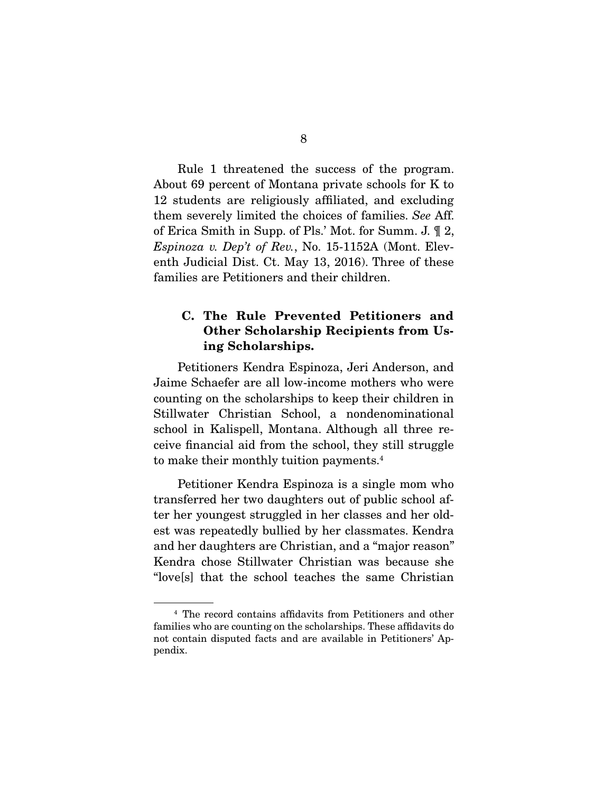Rule 1 threatened the success of the program. About 69 percent of Montana private schools for K to 12 students are religiously affiliated, and excluding them severely limited the choices of families. *See* Aff. of Erica Smith in Supp. of Pls.' Mot. for Summ. J. ¶ 2, *Espinoza v. Dep't of Rev.*, No. 15-1152A (Mont. Eleventh Judicial Dist. Ct. May 13, 2016). Three of these families are Petitioners and their children.

## C. The Rule Prevented Petitioners and Other Scholarship Recipients from Using Scholarships.

 Petitioners Kendra Espinoza, Jeri Anderson, and Jaime Schaefer are all low-income mothers who were counting on the scholarships to keep their children in Stillwater Christian School, a nondenominational school in Kalispell, Montana. Although all three receive financial aid from the school, they still struggle to make their monthly tuition payments.4

 Petitioner Kendra Espinoza is a single mom who transferred her two daughters out of public school after her youngest struggled in her classes and her oldest was repeatedly bullied by her classmates. Kendra and her daughters are Christian, and a "major reason" Kendra chose Stillwater Christian was because she "love[s] that the school teaches the same Christian

<sup>4</sup> The record contains affidavits from Petitioners and other families who are counting on the scholarships. These affidavits do not contain disputed facts and are available in Petitioners' Appendix.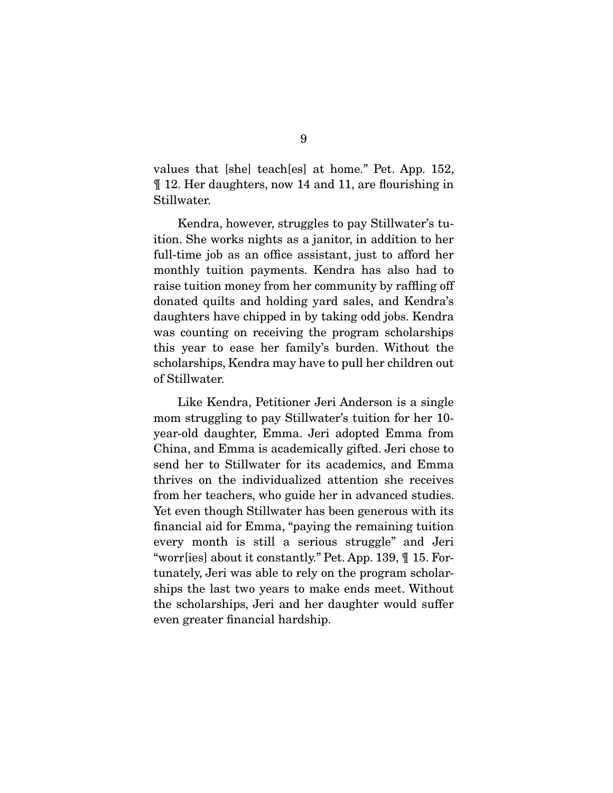values that [she] teach[es] at home." Pet. App. 152, ¶ 12. Her daughters, now 14 and 11, are flourishing in Stillwater.

 Kendra, however, struggles to pay Stillwater's tuition. She works nights as a janitor, in addition to her full-time job as an office assistant, just to afford her monthly tuition payments. Kendra has also had to raise tuition money from her community by raffling off donated quilts and holding yard sales, and Kendra's daughters have chipped in by taking odd jobs. Kendra was counting on receiving the program scholarships this year to ease her family's burden. Without the scholarships, Kendra may have to pull her children out of Stillwater.

 Like Kendra, Petitioner Jeri Anderson is a single mom struggling to pay Stillwater's tuition for her 10 year-old daughter, Emma. Jeri adopted Emma from China, and Emma is academically gifted. Jeri chose to send her to Stillwater for its academics, and Emma thrives on the individualized attention she receives from her teachers, who guide her in advanced studies. Yet even though Stillwater has been generous with its financial aid for Emma, "paying the remaining tuition every month is still a serious struggle" and Jeri "worr[ies] about it constantly." Pet. App. 139, ¶ 15. Fortunately, Jeri was able to rely on the program scholarships the last two years to make ends meet. Without the scholarships, Jeri and her daughter would suffer even greater financial hardship.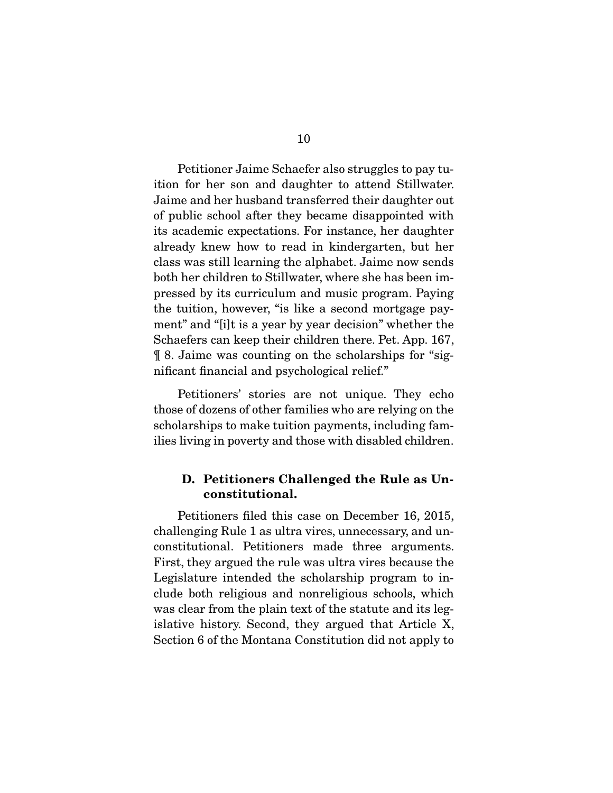Petitioner Jaime Schaefer also struggles to pay tuition for her son and daughter to attend Stillwater. Jaime and her husband transferred their daughter out of public school after they became disappointed with its academic expectations. For instance, her daughter already knew how to read in kindergarten, but her class was still learning the alphabet. Jaime now sends both her children to Stillwater, where she has been impressed by its curriculum and music program. Paying the tuition, however, "is like a second mortgage payment" and "[i]t is a year by year decision" whether the Schaefers can keep their children there. Pet. App. 167, ¶ 8. Jaime was counting on the scholarships for "significant financial and psychological relief."

 Petitioners' stories are not unique. They echo those of dozens of other families who are relying on the scholarships to make tuition payments, including families living in poverty and those with disabled children.

## D. Petitioners Challenged the Rule as Unconstitutional.

 Petitioners filed this case on December 16, 2015, challenging Rule 1 as ultra vires, unnecessary, and unconstitutional. Petitioners made three arguments. First, they argued the rule was ultra vires because the Legislature intended the scholarship program to include both religious and nonreligious schools, which was clear from the plain text of the statute and its legislative history. Second, they argued that Article X, Section 6 of the Montana Constitution did not apply to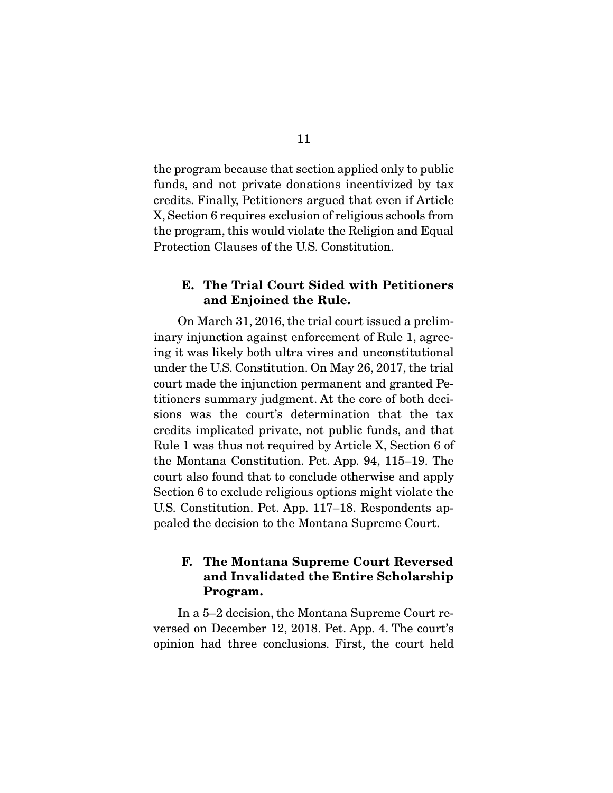the program because that section applied only to public funds, and not private donations incentivized by tax credits. Finally, Petitioners argued that even if Article X, Section 6 requires exclusion of religious schools from the program, this would violate the Religion and Equal Protection Clauses of the U.S. Constitution.

### E. The Trial Court Sided with Petitioners and Enjoined the Rule.

 On March 31, 2016, the trial court issued a preliminary injunction against enforcement of Rule 1, agreeing it was likely both ultra vires and unconstitutional under the U.S. Constitution. On May 26, 2017, the trial court made the injunction permanent and granted Petitioners summary judgment. At the core of both decisions was the court's determination that the tax credits implicated private, not public funds, and that Rule 1 was thus not required by Article X, Section 6 of the Montana Constitution. Pet. App. 94, 115–19. The court also found that to conclude otherwise and apply Section 6 to exclude religious options might violate the U.S. Constitution. Pet. App. 117–18. Respondents appealed the decision to the Montana Supreme Court.

## F. The Montana Supreme Court Reversed and Invalidated the Entire Scholarship Program.

 In a 5–2 decision, the Montana Supreme Court reversed on December 12, 2018. Pet. App. 4. The court's opinion had three conclusions. First, the court held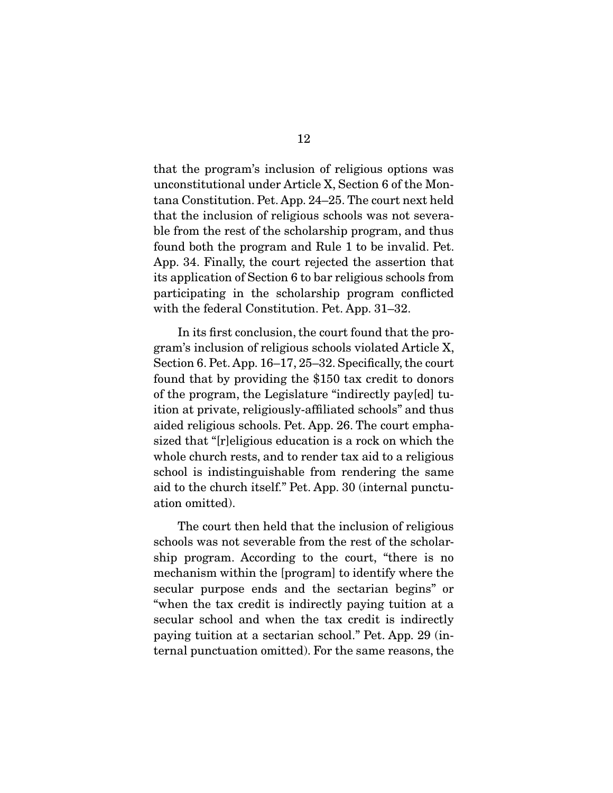that the program's inclusion of religious options was unconstitutional under Article X, Section 6 of the Montana Constitution. Pet. App. 24–25. The court next held that the inclusion of religious schools was not severable from the rest of the scholarship program, and thus found both the program and Rule 1 to be invalid. Pet. App. 34. Finally, the court rejected the assertion that its application of Section 6 to bar religious schools from participating in the scholarship program conflicted with the federal Constitution. Pet. App. 31–32.

 In its first conclusion, the court found that the program's inclusion of religious schools violated Article X, Section 6. Pet. App. 16–17, 25–32. Specifically, the court found that by providing the \$150 tax credit to donors of the program, the Legislature "indirectly pay[ed] tuition at private, religiously-affiliated schools" and thus aided religious schools. Pet. App. 26. The court emphasized that "[r]eligious education is a rock on which the whole church rests, and to render tax aid to a religious school is indistinguishable from rendering the same aid to the church itself." Pet. App. 30 (internal punctuation omitted).

 The court then held that the inclusion of religious schools was not severable from the rest of the scholarship program. According to the court, "there is no mechanism within the [program] to identify where the secular purpose ends and the sectarian begins" or "when the tax credit is indirectly paying tuition at a secular school and when the tax credit is indirectly paying tuition at a sectarian school." Pet. App. 29 (internal punctuation omitted). For the same reasons, the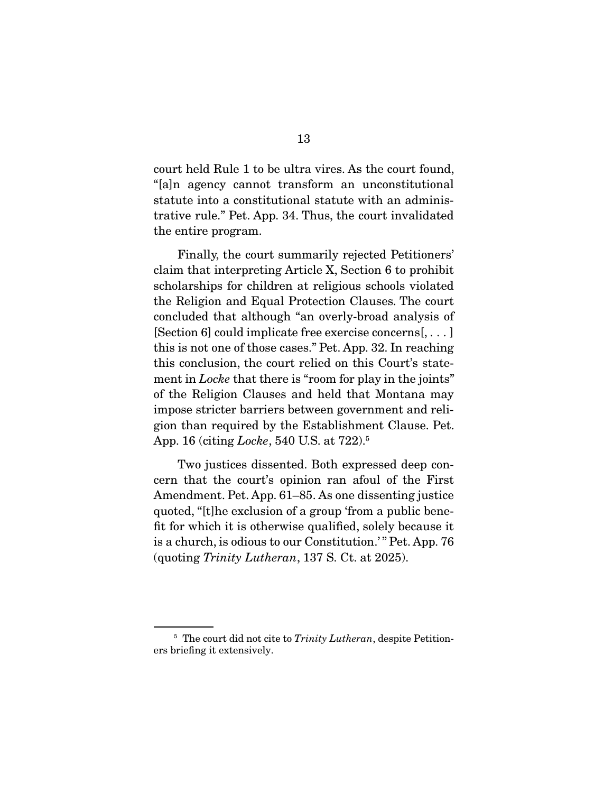court held Rule 1 to be ultra vires. As the court found, "[a]n agency cannot transform an unconstitutional statute into a constitutional statute with an administrative rule." Pet. App. 34. Thus, the court invalidated the entire program.

 Finally, the court summarily rejected Petitioners' claim that interpreting Article X, Section 6 to prohibit scholarships for children at religious schools violated the Religion and Equal Protection Clauses. The court concluded that although "an overly-broad analysis of [Section 6] could implicate free exercise concerns[, . . . ] this is not one of those cases." Pet. App. 32. In reaching this conclusion, the court relied on this Court's statement in *Locke* that there is "room for play in the joints" of the Religion Clauses and held that Montana may impose stricter barriers between government and religion than required by the Establishment Clause. Pet. App. 16 (citing *Locke*, 540 U.S. at 722).5

 Two justices dissented. Both expressed deep concern that the court's opinion ran afoul of the First Amendment. Pet. App. 61–85. As one dissenting justice quoted, "[t]he exclusion of a group 'from a public benefit for which it is otherwise qualified, solely because it is a church, is odious to our Constitution.'" Pet. App. 76 (quoting *Trinity Lutheran*, 137 S. Ct. at 2025).

<sup>5</sup> The court did not cite to *Trinity Lutheran*, despite Petitioners briefing it extensively.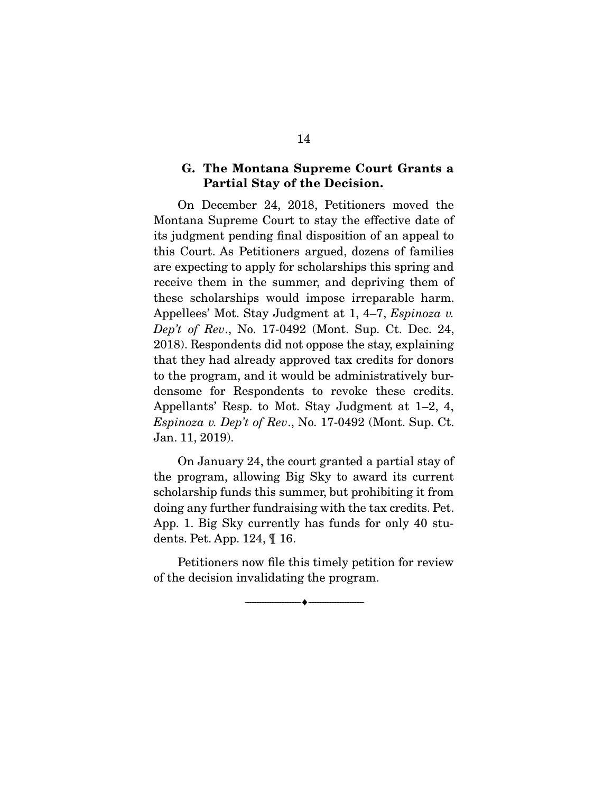## G. The Montana Supreme Court Grants a Partial Stay of the Decision.

 On December 24, 2018, Petitioners moved the Montana Supreme Court to stay the effective date of its judgment pending final disposition of an appeal to this Court. As Petitioners argued, dozens of families are expecting to apply for scholarships this spring and receive them in the summer, and depriving them of these scholarships would impose irreparable harm. Appellees' Mot. Stay Judgment at 1, 4–7, *Espinoza v. Dep't of Rev*., No. 17-0492 (Mont. Sup. Ct. Dec. 24, 2018). Respondents did not oppose the stay, explaining that they had already approved tax credits for donors to the program, and it would be administratively burdensome for Respondents to revoke these credits. Appellants' Resp. to Mot. Stay Judgment at 1–2, 4, *Espinoza v. Dep't of Rev*., No. 17-0492 (Mont. Sup. Ct. Jan. 11, 2019).

 On January 24, the court granted a partial stay of the program, allowing Big Sky to award its current scholarship funds this summer, but prohibiting it from doing any further fundraising with the tax credits. Pet. App. 1. Big Sky currently has funds for only 40 students. Pet. App. 124, ¶ 16.

 Petitioners now file this timely petition for review of the decision invalidating the program.

--------------------------------- ---------------------------------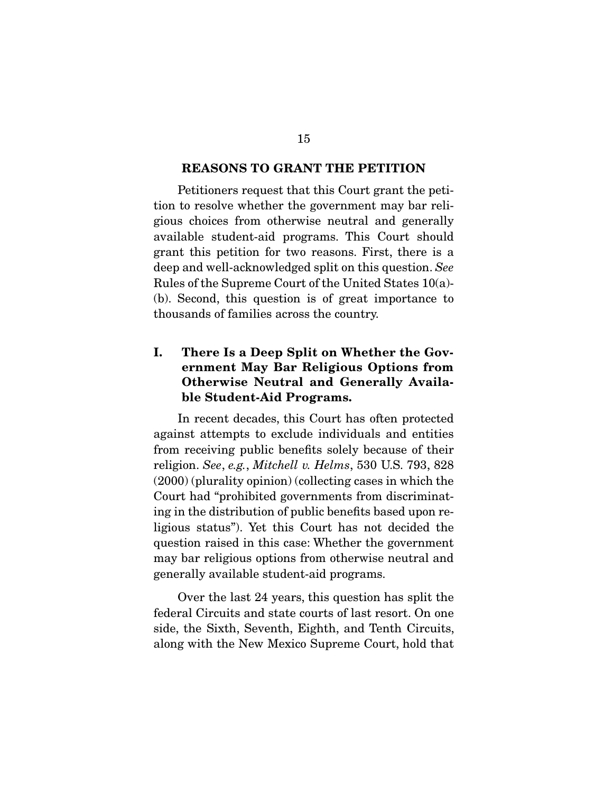#### REASONS TO GRANT THE PETITION

 Petitioners request that this Court grant the petition to resolve whether the government may bar religious choices from otherwise neutral and generally available student-aid programs. This Court should grant this petition for two reasons. First, there is a deep and well-acknowledged split on this question. *See* Rules of the Supreme Court of the United States 10(a)- (b). Second, this question is of great importance to thousands of families across the country.

## I. There Is a Deep Split on Whether the Government May Bar Religious Options from Otherwise Neutral and Generally Available Student-Aid Programs.

 In recent decades, this Court has often protected against attempts to exclude individuals and entities from receiving public benefits solely because of their religion. *See*, *e.g.*, *Mitchell v. Helms*, 530 U.S. 793, 828 (2000) (plurality opinion) (collecting cases in which the Court had "prohibited governments from discriminating in the distribution of public benefits based upon religious status"). Yet this Court has not decided the question raised in this case: Whether the government may bar religious options from otherwise neutral and generally available student-aid programs.

 Over the last 24 years, this question has split the federal Circuits and state courts of last resort. On one side, the Sixth, Seventh, Eighth, and Tenth Circuits, along with the New Mexico Supreme Court, hold that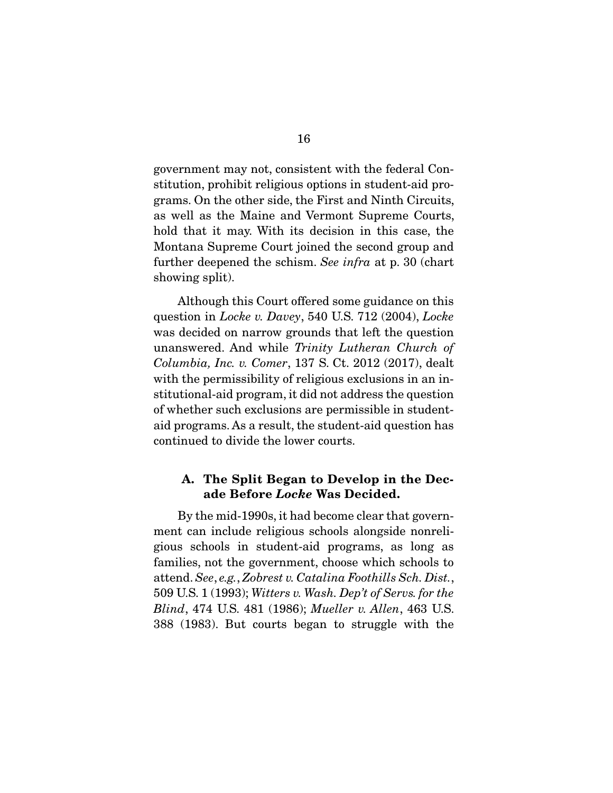government may not, consistent with the federal Constitution, prohibit religious options in student-aid programs. On the other side, the First and Ninth Circuits, as well as the Maine and Vermont Supreme Courts, hold that it may. With its decision in this case, the Montana Supreme Court joined the second group and further deepened the schism. *See infra* at p. 30 (chart showing split).

 Although this Court offered some guidance on this question in *Locke v. Davey*, 540 U.S. 712 (2004), *Locke* was decided on narrow grounds that left the question unanswered. And while *Trinity Lutheran Church of Columbia, Inc. v. Comer*, 137 S. Ct. 2012 (2017), dealt with the permissibility of religious exclusions in an institutional-aid program, it did not address the question of whether such exclusions are permissible in studentaid programs. As a result, the student-aid question has continued to divide the lower courts.

## A. The Split Began to Develop in the Decade Before *Locke* Was Decided.

 By the mid-1990s, it had become clear that government can include religious schools alongside nonreligious schools in student-aid programs, as long as families, not the government, choose which schools to attend. *See*, *e.g.*, *Zobrest v. Catalina Foothills Sch. Dist.*, 509 U.S. 1 (1993); *Witters v. Wash. Dep't of Servs. for the Blind*, 474 U.S. 481 (1986); *Mueller v. Allen*, 463 U.S. 388 (1983). But courts began to struggle with the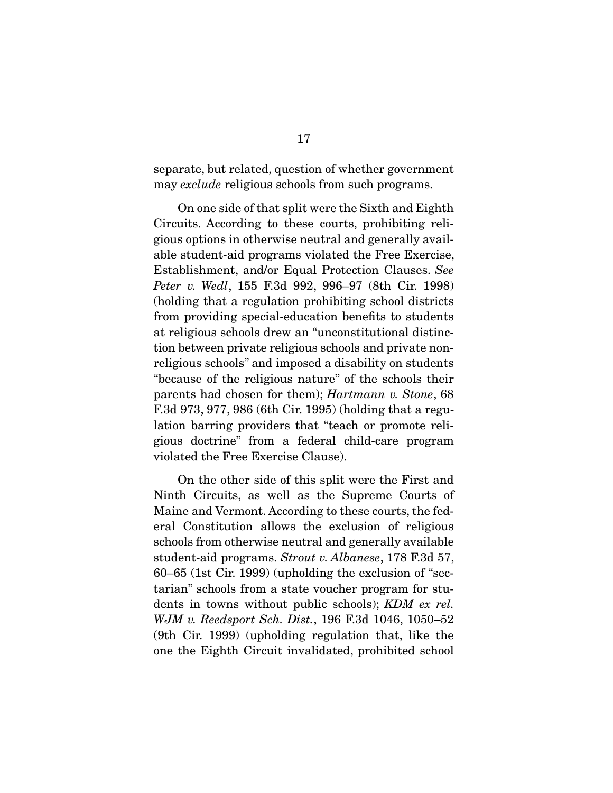separate, but related, question of whether government may *exclude* religious schools from such programs.

 On one side of that split were the Sixth and Eighth Circuits. According to these courts, prohibiting religious options in otherwise neutral and generally available student-aid programs violated the Free Exercise, Establishment, and/or Equal Protection Clauses. *See Peter v. Wedl*, 155 F.3d 992, 996–97 (8th Cir. 1998) (holding that a regulation prohibiting school districts from providing special-education benefits to students at religious schools drew an "unconstitutional distinction between private religious schools and private nonreligious schools" and imposed a disability on students "because of the religious nature" of the schools their parents had chosen for them); *Hartmann v. Stone*, 68 F.3d 973, 977, 986 (6th Cir. 1995) (holding that a regulation barring providers that "teach or promote religious doctrine" from a federal child-care program violated the Free Exercise Clause).

 On the other side of this split were the First and Ninth Circuits, as well as the Supreme Courts of Maine and Vermont. According to these courts, the federal Constitution allows the exclusion of religious schools from otherwise neutral and generally available student-aid programs. *Strout v. Albanese*, 178 F.3d 57, 60–65 (1st Cir. 1999) (upholding the exclusion of "sectarian" schools from a state voucher program for students in towns without public schools); *KDM ex rel. WJM v. Reedsport Sch. Dist.*, 196 F.3d 1046, 1050–52 (9th Cir. 1999) (upholding regulation that, like the one the Eighth Circuit invalidated, prohibited school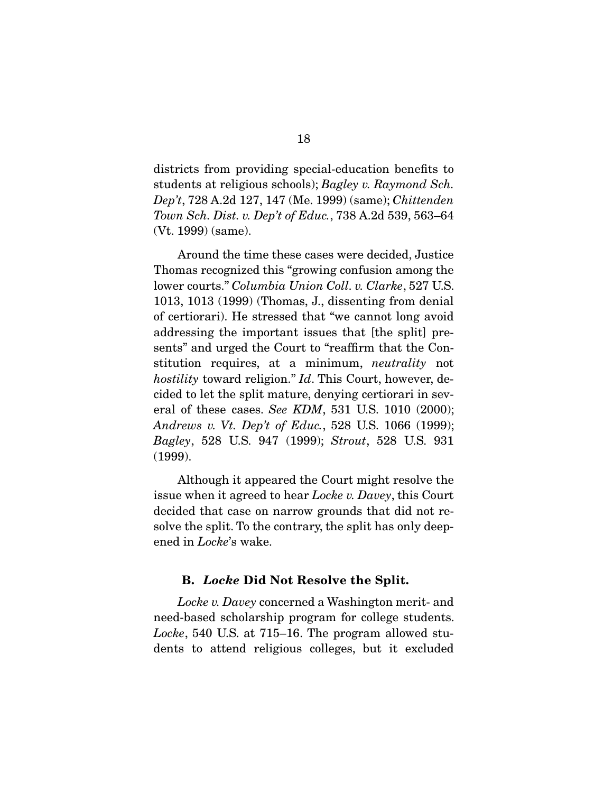districts from providing special-education benefits to students at religious schools); *Bagley v. Raymond Sch. Dep't*, 728 A.2d 127, 147 (Me. 1999) (same); *Chittenden Town Sch. Dist. v. Dep't of Educ.*, 738 A.2d 539, 563–64 (Vt. 1999) (same).

 Around the time these cases were decided, Justice Thomas recognized this "growing confusion among the lower courts." *Columbia Union Coll. v. Clarke*, 527 U.S. 1013, 1013 (1999) (Thomas, J., dissenting from denial of certiorari). He stressed that "we cannot long avoid addressing the important issues that [the split] presents" and urged the Court to "reaffirm that the Constitution requires, at a minimum, *neutrality* not *hostility* toward religion." *Id*. This Court, however, decided to let the split mature, denying certiorari in several of these cases. *See KDM*, 531 U.S. 1010 (2000); *Andrews v. Vt. Dep't of Educ.*, 528 U.S. 1066 (1999); *Bagley*, 528 U.S. 947 (1999); *Strout*, 528 U.S. 931 (1999).

 Although it appeared the Court might resolve the issue when it agreed to hear *Locke v. Davey*, this Court decided that case on narrow grounds that did not resolve the split. To the contrary, the split has only deepened in *Locke*'s wake.

### B. *Locke* Did Not Resolve the Split.

*Locke v. Davey* concerned a Washington merit- and need-based scholarship program for college students. *Locke*, 540 U.S. at 715–16. The program allowed students to attend religious colleges, but it excluded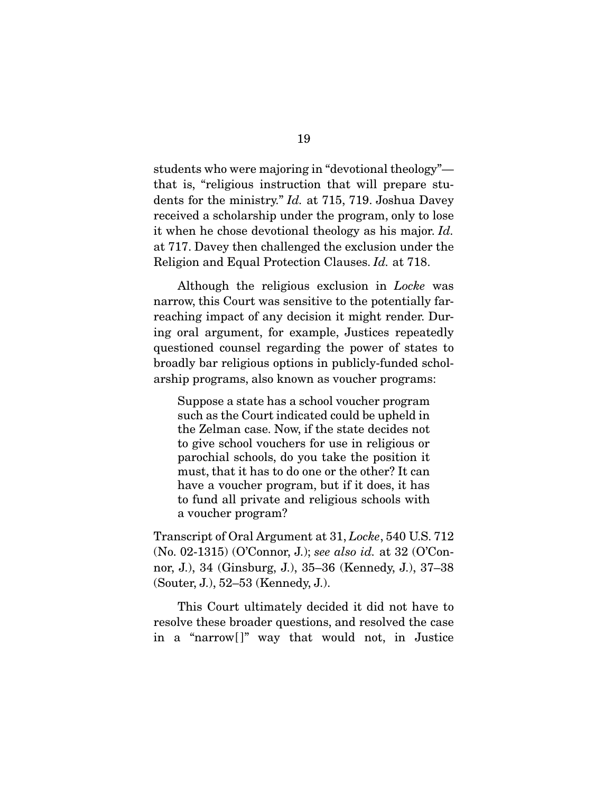students who were majoring in "devotional theology" that is, "religious instruction that will prepare students for the ministry." *Id.* at 715, 719. Joshua Davey received a scholarship under the program, only to lose it when he chose devotional theology as his major. *Id.* at 717. Davey then challenged the exclusion under the Religion and Equal Protection Clauses. *Id.* at 718.

 Although the religious exclusion in *Locke* was narrow, this Court was sensitive to the potentially farreaching impact of any decision it might render. During oral argument, for example, Justices repeatedly questioned counsel regarding the power of states to broadly bar religious options in publicly-funded scholarship programs, also known as voucher programs:

Suppose a state has a school voucher program such as the Court indicated could be upheld in the Zelman case. Now, if the state decides not to give school vouchers for use in religious or parochial schools, do you take the position it must, that it has to do one or the other? It can have a voucher program, but if it does, it has to fund all private and religious schools with a voucher program?

Transcript of Oral Argument at 31, *Locke*, 540 U.S. 712 (No. 02-1315) (O'Connor, J.); *see also id.* at 32 (O'Connor, J.), 34 (Ginsburg, J.), 35–36 (Kennedy, J.), 37–38 (Souter, J.), 52–53 (Kennedy, J.).

 This Court ultimately decided it did not have to resolve these broader questions, and resolved the case in a "narrow[ ]" way that would not, in Justice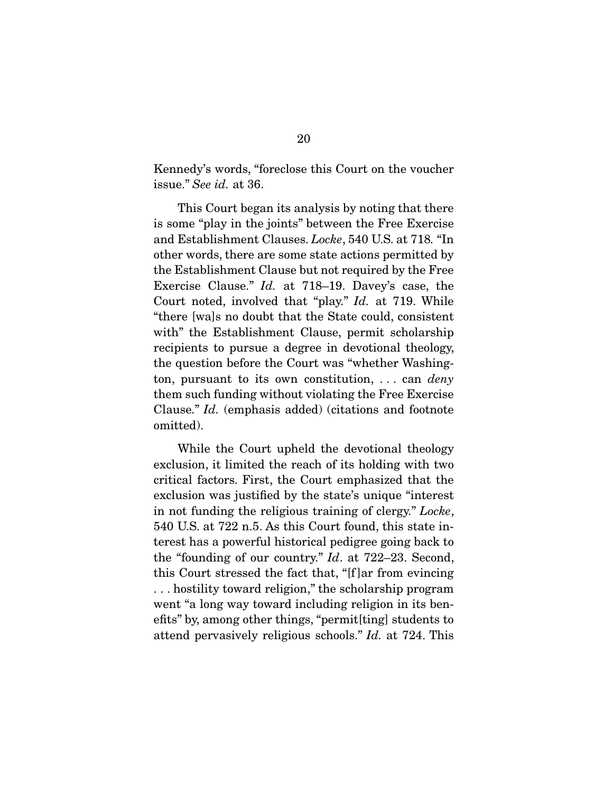Kennedy's words, "foreclose this Court on the voucher issue." *See id.* at 36.

 This Court began its analysis by noting that there is some "play in the joints" between the Free Exercise and Establishment Clauses. *Locke*, 540 U.S. at 718*.* "In other words, there are some state actions permitted by the Establishment Clause but not required by the Free Exercise Clause." *Id.* at 718–19. Davey's case, the Court noted, involved that "play." *Id.* at 719. While "there [wa]s no doubt that the State could, consistent with" the Establishment Clause, permit scholarship recipients to pursue a degree in devotional theology, the question before the Court was "whether Washington, pursuant to its own constitution, . . . can *deny* them such funding without violating the Free Exercise Clause." *Id.* (emphasis added) (citations and footnote omitted).

 While the Court upheld the devotional theology exclusion, it limited the reach of its holding with two critical factors. First, the Court emphasized that the exclusion was justified by the state's unique "interest in not funding the religious training of clergy." *Locke*, 540 U.S. at 722 n.5. As this Court found, this state interest has a powerful historical pedigree going back to the "founding of our country." *Id*. at 722–23. Second, this Court stressed the fact that, "[f ]ar from evincing . . . hostility toward religion," the scholarship program went "a long way toward including religion in its benefits" by, among other things, "permit[ting] students to attend pervasively religious schools." *Id.* at 724. This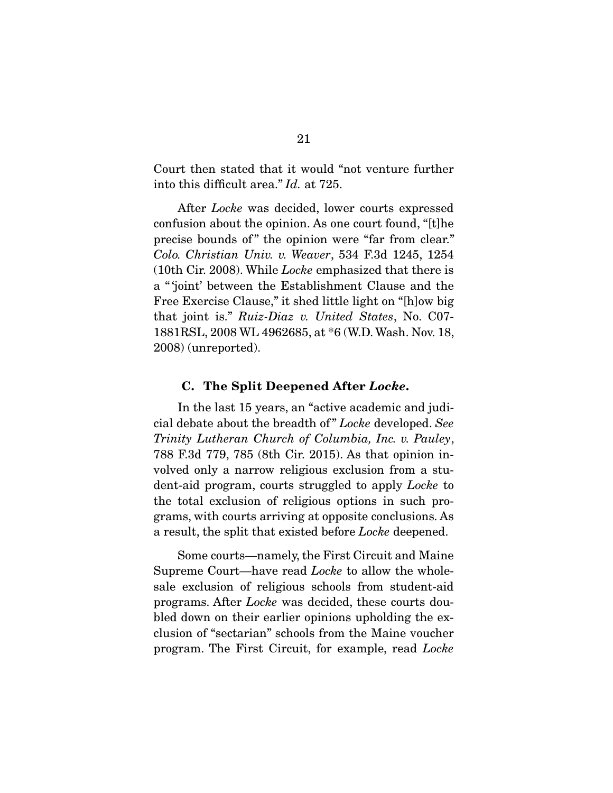Court then stated that it would "not venture further into this difficult area." *Id.* at 725.

 After *Locke* was decided, lower courts expressed confusion about the opinion. As one court found, "[t]he precise bounds of" the opinion were "far from clear." *Colo. Christian Univ. v. Weaver*, 534 F.3d 1245, 1254 (10th Cir. 2008). While *Locke* emphasized that there is a " 'joint' between the Establishment Clause and the Free Exercise Clause," it shed little light on "[h]ow big that joint is." *Ruiz-Diaz v. United States*, No. C07- 1881RSL, 2008 WL 4962685, at \*6 (W.D. Wash. Nov. 18, 2008) (unreported).

#### C. The Split Deepened After *Locke*.

 In the last 15 years, an "active academic and judicial debate about the breadth of " *Locke* developed. *See Trinity Lutheran Church of Columbia, Inc. v. Pauley*, 788 F.3d 779, 785 (8th Cir. 2015). As that opinion involved only a narrow religious exclusion from a student-aid program, courts struggled to apply *Locke* to the total exclusion of religious options in such programs, with courts arriving at opposite conclusions. As a result, the split that existed before *Locke* deepened.

 Some courts—namely, the First Circuit and Maine Supreme Court—have read *Locke* to allow the wholesale exclusion of religious schools from student-aid programs. After *Locke* was decided, these courts doubled down on their earlier opinions upholding the exclusion of "sectarian" schools from the Maine voucher program. The First Circuit, for example, read *Locke*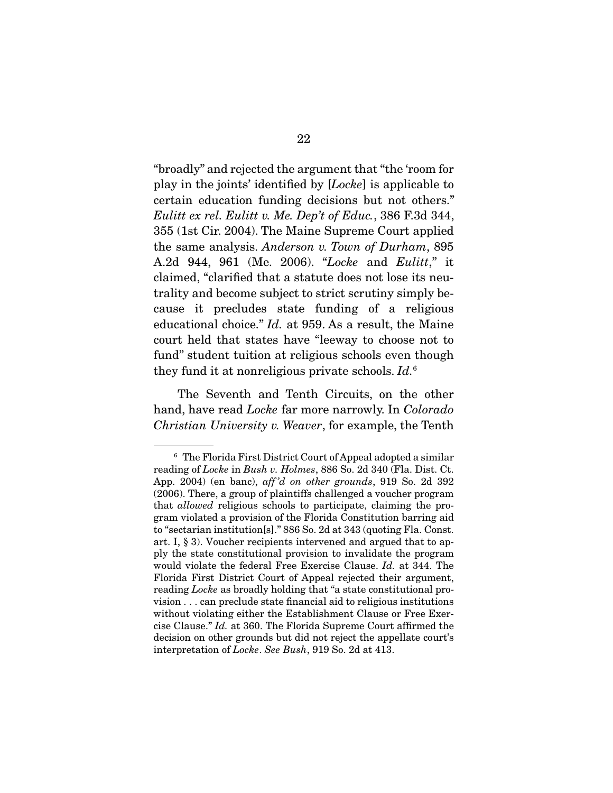"broadly" and rejected the argument that "the 'room for play in the joints' identified by [*Locke*] is applicable to certain education funding decisions but not others." *Eulitt ex rel. Eulitt v. Me. Dep't of Educ.*, 386 F.3d 344, 355 (1st Cir. 2004). The Maine Supreme Court applied the same analysis. *Anderson v. Town of Durham*, 895 A.2d 944, 961 (Me. 2006). "*Locke* and *Eulitt*," it claimed, "clarified that a statute does not lose its neutrality and become subject to strict scrutiny simply because it precludes state funding of a religious educational choice." *Id.* at 959. As a result, the Maine court held that states have "leeway to choose not to fund" student tuition at religious schools even though they fund it at nonreligious private schools. *Id.*<sup>6</sup>

 The Seventh and Tenth Circuits, on the other hand, have read *Locke* far more narrowly. In *Colorado Christian University v. Weaver*, for example, the Tenth

<sup>&</sup>lt;sup>6</sup> The Florida First District Court of Appeal adopted a similar reading of *Locke* in *Bush v. Holmes*, 886 So. 2d 340 (Fla. Dist. Ct. App. 2004) (en banc), *aff 'd on other grounds*, 919 So. 2d 392 (2006). There, a group of plaintiffs challenged a voucher program that *allowed* religious schools to participate, claiming the program violated a provision of the Florida Constitution barring aid to "sectarian institution[s]." 886 So. 2d at 343 (quoting Fla. Const. art. I, § 3). Voucher recipients intervened and argued that to apply the state constitutional provision to invalidate the program would violate the federal Free Exercise Clause. *Id.* at 344. The Florida First District Court of Appeal rejected their argument, reading *Locke* as broadly holding that "a state constitutional provision . . . can preclude state financial aid to religious institutions without violating either the Establishment Clause or Free Exercise Clause." *Id.* at 360. The Florida Supreme Court affirmed the decision on other grounds but did not reject the appellate court's interpretation of *Locke*. *See Bush*, 919 So. 2d at 413.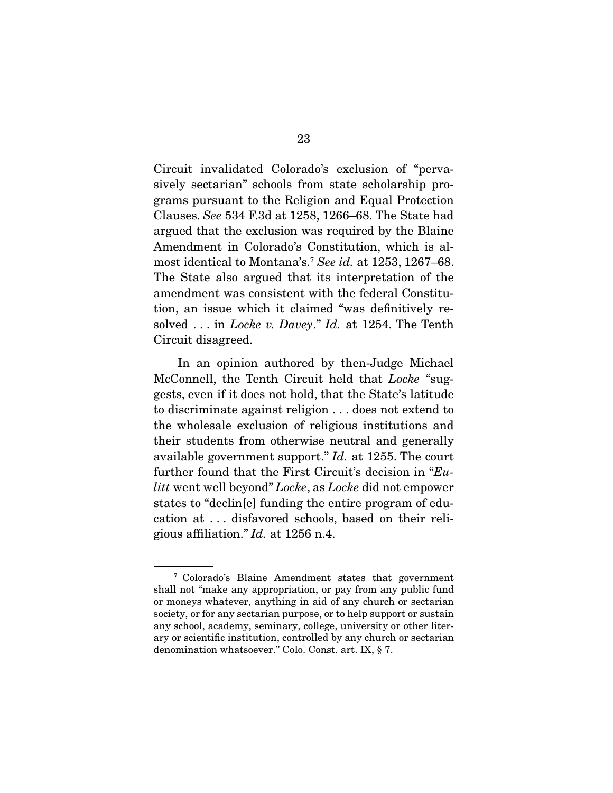Circuit invalidated Colorado's exclusion of "pervasively sectarian" schools from state scholarship programs pursuant to the Religion and Equal Protection Clauses. *See* 534 F.3d at 1258, 1266–68. The State had argued that the exclusion was required by the Blaine Amendment in Colorado's Constitution, which is almost identical to Montana's.7 *See id.* at 1253, 1267–68. The State also argued that its interpretation of the amendment was consistent with the federal Constitution, an issue which it claimed "was definitively resolved . . . in *Locke v. Davey*." *Id.* at 1254. The Tenth Circuit disagreed.

 In an opinion authored by then-Judge Michael McConnell, the Tenth Circuit held that *Locke* "suggests, even if it does not hold, that the State's latitude to discriminate against religion . . . does not extend to the wholesale exclusion of religious institutions and their students from otherwise neutral and generally available government support." *Id.* at 1255. The court further found that the First Circuit's decision in "*Eulitt* went well beyond" *Locke*, as *Locke* did not empower states to "declin[e] funding the entire program of education at . . . disfavored schools, based on their religious affiliation." *Id.* at 1256 n.4.

<sup>7</sup> Colorado's Blaine Amendment states that government shall not "make any appropriation, or pay from any public fund or moneys whatever, anything in aid of any church or sectarian society, or for any sectarian purpose, or to help support or sustain any school, academy, seminary, college, university or other literary or scientific institution, controlled by any church or sectarian denomination whatsoever." Colo. Const. art. IX, § 7.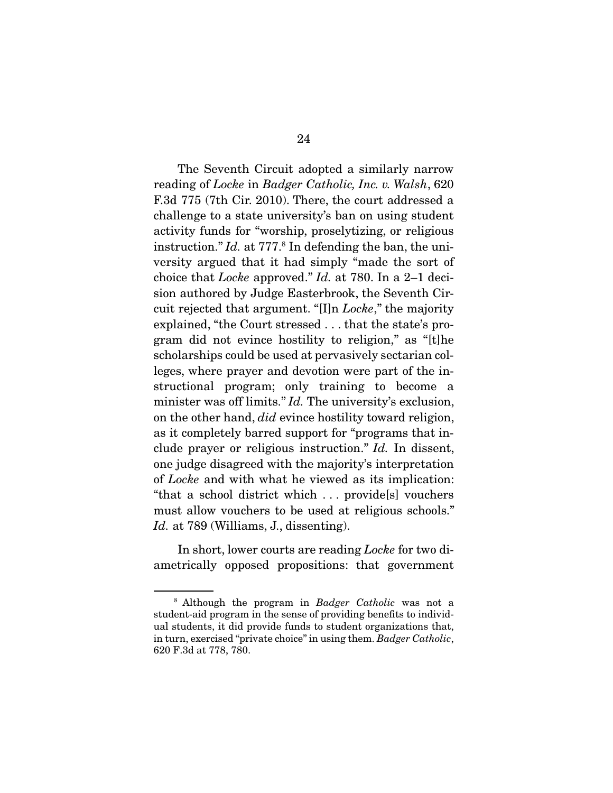The Seventh Circuit adopted a similarly narrow reading of *Locke* in *Badger Catholic, Inc. v. Walsh*, 620 F.3d 775 (7th Cir. 2010). There, the court addressed a challenge to a state university's ban on using student activity funds for "worship, proselytizing, or religious instruction." *Id.* at 777.<sup>8</sup> In defending the ban, the university argued that it had simply "made the sort of choice that *Locke* approved." *Id.* at 780. In a 2–1 decision authored by Judge Easterbrook, the Seventh Circuit rejected that argument. "[I]n *Locke*," the majority explained, "the Court stressed . . . that the state's program did not evince hostility to religion," as "[t]he scholarships could be used at pervasively sectarian colleges, where prayer and devotion were part of the instructional program; only training to become a minister was off limits." *Id.* The university's exclusion, on the other hand, *did* evince hostility toward religion, as it completely barred support for "programs that include prayer or religious instruction." *Id.* In dissent, one judge disagreed with the majority's interpretation of *Locke* and with what he viewed as its implication: "that a school district which . . . provide[s] vouchers must allow vouchers to be used at religious schools." Id. at 789 (Williams, J., dissenting).

 In short, lower courts are reading *Locke* for two diametrically opposed propositions: that government

<sup>8</sup> Although the program in *Badger Catholic* was not a student-aid program in the sense of providing benefits to individual students, it did provide funds to student organizations that, in turn, exercised "private choice" in using them. *Badger Catholic*, 620 F.3d at 778, 780.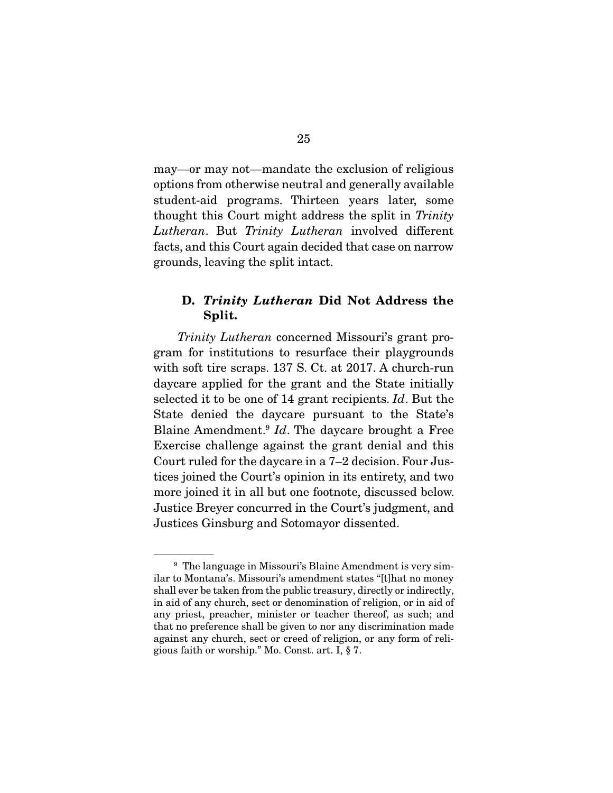may—or may not—mandate the exclusion of religious options from otherwise neutral and generally available student-aid programs. Thirteen years later, some thought this Court might address the split in *Trinity Lutheran*. But *Trinity Lutheran* involved different facts, and this Court again decided that case on narrow grounds, leaving the split intact.

## D. *Trinity Lutheran* Did Not Address the Split.

*Trinity Lutheran* concerned Missouri's grant program for institutions to resurface their playgrounds with soft tire scraps. 137 S. Ct. at 2017. A church-run daycare applied for the grant and the State initially selected it to be one of 14 grant recipients. *Id*. But the State denied the daycare pursuant to the State's Blaine Amendment.9 *Id*. The daycare brought a Free Exercise challenge against the grant denial and this Court ruled for the daycare in a 7–2 decision. Four Justices joined the Court's opinion in its entirety, and two more joined it in all but one footnote, discussed below. Justice Breyer concurred in the Court's judgment, and Justices Ginsburg and Sotomayor dissented.

<sup>&</sup>lt;sup>9</sup> The language in Missouri's Blaine Amendment is very similar to Montana's. Missouri's amendment states "[t]hat no money shall ever be taken from the public treasury, directly or indirectly, in aid of any church, sect or denomination of religion, or in aid of any priest, preacher, minister or teacher thereof, as such; and that no preference shall be given to nor any discrimination made against any church, sect or creed of religion, or any form of religious faith or worship." Mo. Const. art. I, § 7.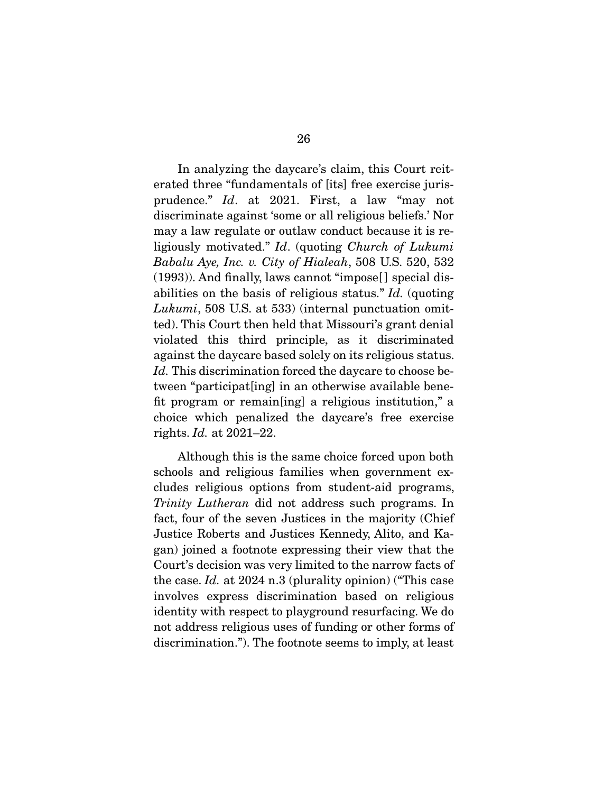In analyzing the daycare's claim, this Court reiterated three "fundamentals of [its] free exercise jurisprudence." *Id*. at 2021. First, a law "may not discriminate against 'some or all religious beliefs.' Nor may a law regulate or outlaw conduct because it is religiously motivated." *Id*. (quoting *Church of Lukumi Babalu Aye, Inc. v. City of Hialeah*, 508 U.S. 520, 532 (1993)). And finally, laws cannot "impose[ ] special disabilities on the basis of religious status." *Id.* (quoting *Lukumi*, 508 U.S. at 533) (internal punctuation omitted). This Court then held that Missouri's grant denial violated this third principle, as it discriminated against the daycare based solely on its religious status. *Id.* This discrimination forced the daycare to choose between "participat[ing] in an otherwise available benefit program or remain[ing] a religious institution," a choice which penalized the daycare's free exercise rights. *Id.* at 2021–22.

 Although this is the same choice forced upon both schools and religious families when government excludes religious options from student-aid programs, *Trinity Lutheran* did not address such programs. In fact, four of the seven Justices in the majority (Chief Justice Roberts and Justices Kennedy, Alito, and Kagan) joined a footnote expressing their view that the Court's decision was very limited to the narrow facts of the case. *Id.* at 2024 n.3 (plurality opinion) ("This case involves express discrimination based on religious identity with respect to playground resurfacing. We do not address religious uses of funding or other forms of discrimination."). The footnote seems to imply, at least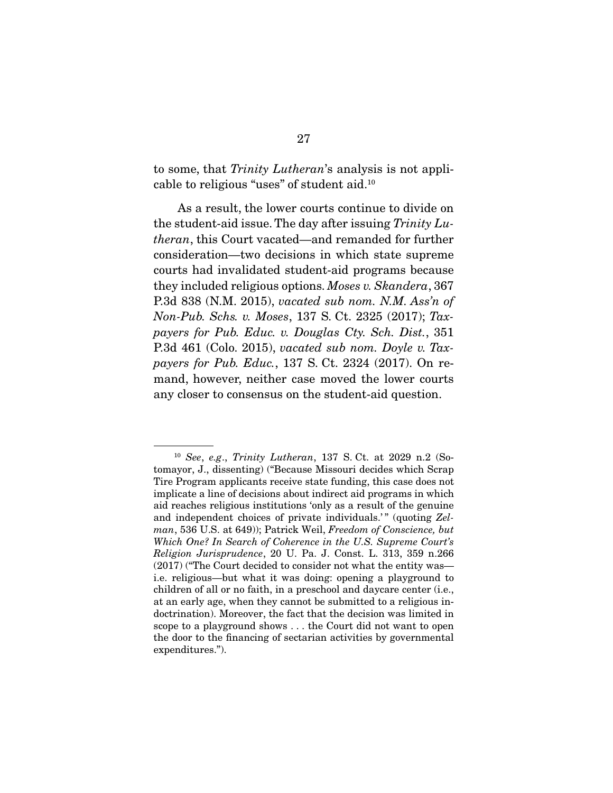to some, that *Trinity Lutheran*'s analysis is not applicable to religious "uses" of student aid.10

 As a result, the lower courts continue to divide on the student-aid issue. The day after issuing *Trinity Lutheran*, this Court vacated—and remanded for further consideration—two decisions in which state supreme courts had invalidated student-aid programs because they included religious options. *Moses v. Skandera*, 367 P.3d 838 (N.M. 2015), *vacated sub nom. N.M. Ass'n of Non-Pub. Schs. v. Moses*, 137 S. Ct. 2325 (2017); *Taxpayers for Pub. Educ. v. Douglas Cty. Sch. Dist.*, 351 P.3d 461 (Colo. 2015), *vacated sub nom. Doyle v. Taxpayers for Pub. Educ.*, 137 S. Ct. 2324 (2017). On remand, however, neither case moved the lower courts any closer to consensus on the student-aid question.

<sup>10</sup> *See*, *e.g*., *Trinity Lutheran*, 137 S. Ct. at 2029 n.2 (Sotomayor, J., dissenting) ("Because Missouri decides which Scrap Tire Program applicants receive state funding, this case does not implicate a line of decisions about indirect aid programs in which aid reaches religious institutions 'only as a result of the genuine and independent choices of private individuals.'" (quoting *Zelman*, 536 U.S. at 649)); Patrick Weil, *Freedom of Conscience, but Which One? In Search of Coherence in the U.S. Supreme Court's Religion Jurisprudence*, 20 U. Pa. J. Const. L. 313, 359 n.266 (2017) ("The Court decided to consider not what the entity was i.e. religious—but what it was doing: opening a playground to children of all or no faith, in a preschool and daycare center (i.e., at an early age, when they cannot be submitted to a religious indoctrination). Moreover, the fact that the decision was limited in scope to a playground shows . . . the Court did not want to open the door to the financing of sectarian activities by governmental expenditures.").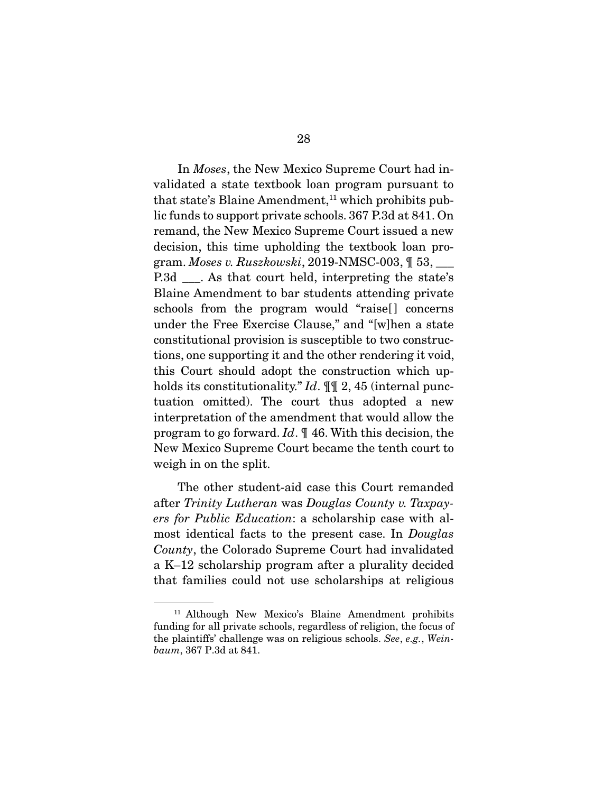In *Moses*, the New Mexico Supreme Court had invalidated a state textbook loan program pursuant to that state's Blaine Amendment,<sup>11</sup> which prohibits public funds to support private schools. 367 P.3d at 841. On remand, the New Mexico Supreme Court issued a new decision, this time upholding the textbook loan program. *Moses v. Ruszkowski*, 2019-NMSC-003, ¶ 53, \_\_\_ P.3d \_\_\_. As that court held, interpreting the state's Blaine Amendment to bar students attending private schools from the program would "raise<sup>[]</sup> concerns under the Free Exercise Clause," and "[w]hen a state constitutional provision is susceptible to two constructions, one supporting it and the other rendering it void, this Court should adopt the construction which upholds its constitutionality." *Id*. ¶¶ 2, 45 (internal punctuation omitted). The court thus adopted a new interpretation of the amendment that would allow the program to go forward. *Id*. ¶ 46. With this decision, the New Mexico Supreme Court became the tenth court to weigh in on the split.

 The other student-aid case this Court remanded after *Trinity Lutheran* was *Douglas County v. Taxpayers for Public Education*: a scholarship case with almost identical facts to the present case. In *Douglas County*, the Colorado Supreme Court had invalidated a K–12 scholarship program after a plurality decided that families could not use scholarships at religious

<sup>&</sup>lt;sup>11</sup> Although New Mexico's Blaine Amendment prohibits funding for all private schools, regardless of religion, the focus of the plaintiffs' challenge was on religious schools. *See*, *e.g.*, *Weinbaum*, 367 P.3d at 841.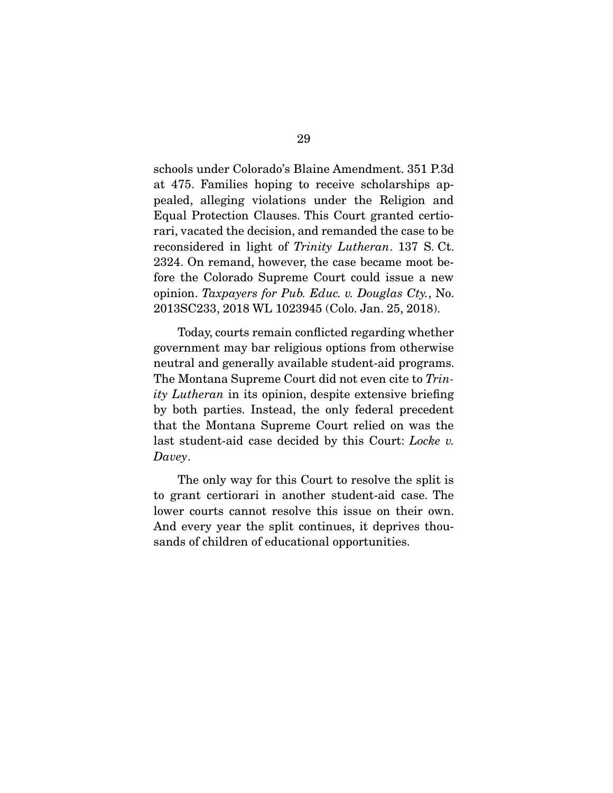schools under Colorado's Blaine Amendment. 351 P.3d at 475. Families hoping to receive scholarships appealed, alleging violations under the Religion and Equal Protection Clauses. This Court granted certiorari, vacated the decision, and remanded the case to be reconsidered in light of *Trinity Lutheran*. 137 S. Ct. 2324. On remand, however, the case became moot before the Colorado Supreme Court could issue a new opinion. *Taxpayers for Pub. Educ. v. Douglas Cty.*, No. 2013SC233, 2018 WL 1023945 (Colo. Jan. 25, 2018).

 Today, courts remain conflicted regarding whether government may bar religious options from otherwise neutral and generally available student-aid programs. The Montana Supreme Court did not even cite to *Trinity Lutheran* in its opinion, despite extensive briefing by both parties. Instead, the only federal precedent that the Montana Supreme Court relied on was the last student-aid case decided by this Court: *Locke v. Davey*.

 The only way for this Court to resolve the split is to grant certiorari in another student-aid case. The lower courts cannot resolve this issue on their own. And every year the split continues, it deprives thousands of children of educational opportunities.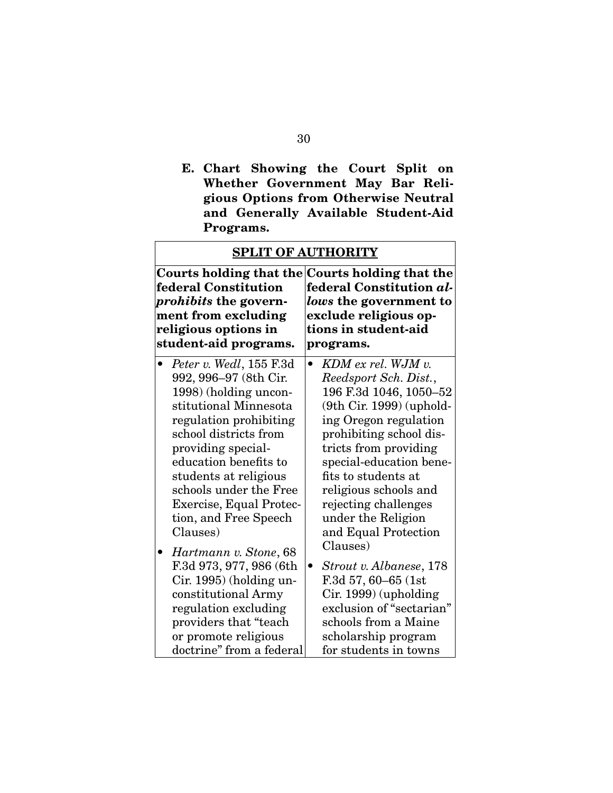E. Chart Showing the Court Split on Whether Government May Bar Religious Options from Otherwise Neutral and Generally Available Student-Aid Programs.

| <b>SPLIT OF AUTHORITY</b>                                                                                                                                                                                                                                                                                                                                                                                                                                                                                      |                                                                                                                                                                                                                                                                                                                                                                                                                                                                                                                       |  |  |
|----------------------------------------------------------------------------------------------------------------------------------------------------------------------------------------------------------------------------------------------------------------------------------------------------------------------------------------------------------------------------------------------------------------------------------------------------------------------------------------------------------------|-----------------------------------------------------------------------------------------------------------------------------------------------------------------------------------------------------------------------------------------------------------------------------------------------------------------------------------------------------------------------------------------------------------------------------------------------------------------------------------------------------------------------|--|--|
| Courts holding that the<br>federal Constitution<br><i>prohibits</i> the govern-<br>ment from excluding<br>religious options in<br>student-aid programs.                                                                                                                                                                                                                                                                                                                                                        | Courts holding that the<br>federal Constitution al-<br>lows the government to<br>exclude religious op-<br>tions in student-aid<br>programs.                                                                                                                                                                                                                                                                                                                                                                           |  |  |
| Peter v. Wedl, 155 F.3d<br>992, 996–97 (8th Cir.<br>1998) (holding uncon-<br>stitutional Minnesota<br>regulation prohibiting<br>school districts from<br>providing special-<br>education benefits to<br>students at religious<br>schools under the Free<br><b>Exercise, Equal Protec-</b><br>tion, and Free Speech<br>Clauses)<br>Hartmann v. Stone, 68<br>F.3d 973, 977, 986 (6th<br>Cir. 1995) (holding un-<br>constitutional Army<br>regulation excluding<br>providers that "teach"<br>or promote religious | $KDM$ ex rel. WJM $v$ .<br>Reedsport Sch. Dist.,<br>196 F.3d 1046, 1050-52<br>$(9th$ Cir. 1999) (uphold-<br>ing Oregon regulation<br>prohibiting school dis-<br>tricts from providing<br>special-education bene-<br>fits to students at<br>religious schools and<br>rejecting challenges<br>under the Religion<br>and Equal Protection<br>Clauses)<br>Strout v. Albanese, 178<br>$\bullet$<br>F.3d 57, 60–65 (1st<br>Cir. 1999) (upholding<br>exclusion of "sectarian"<br>schools from a Maine<br>scholarship program |  |  |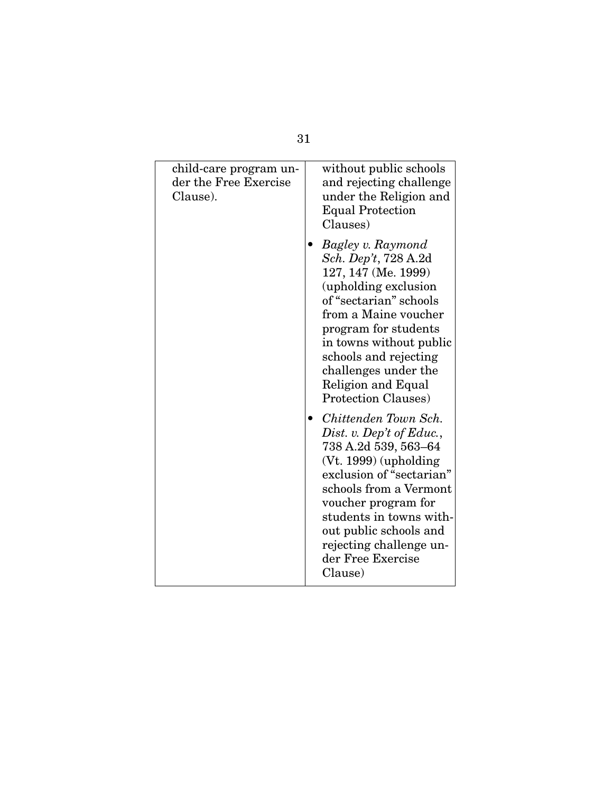| child-care program un-<br>der the Free Exercise<br>Clause). | without public schools<br>and rejecting challenge<br>under the Religion and<br><b>Equal Protection</b><br>Clauses)                                                                                                                                                                                                                                                                                                                                                                                                                                                                                      |
|-------------------------------------------------------------|---------------------------------------------------------------------------------------------------------------------------------------------------------------------------------------------------------------------------------------------------------------------------------------------------------------------------------------------------------------------------------------------------------------------------------------------------------------------------------------------------------------------------------------------------------------------------------------------------------|
|                                                             | Bagley v. Raymond<br>Sch. Dep't, 728 A.2d<br>127, 147 (Me. 1999)<br>(upholding exclusion<br>of "sectarian" schools<br>from a Maine voucher<br>program for students<br>in towns without public<br>schools and rejecting<br>challenges under the<br>Religion and Equal<br><b>Protection Clauses</b> )<br>Chittenden Town Sch.<br>Dist. v. Dep't of Educ.,<br>738 A.2d 539, 563-64<br>$(Vt. 1999)$ (upholding<br>exclusion of "sectarian"<br>schools from a Vermont<br>voucher program for<br>students in towns with-<br>out public schools and<br>rejecting challenge un-<br>der Free Exercise<br>Clause) |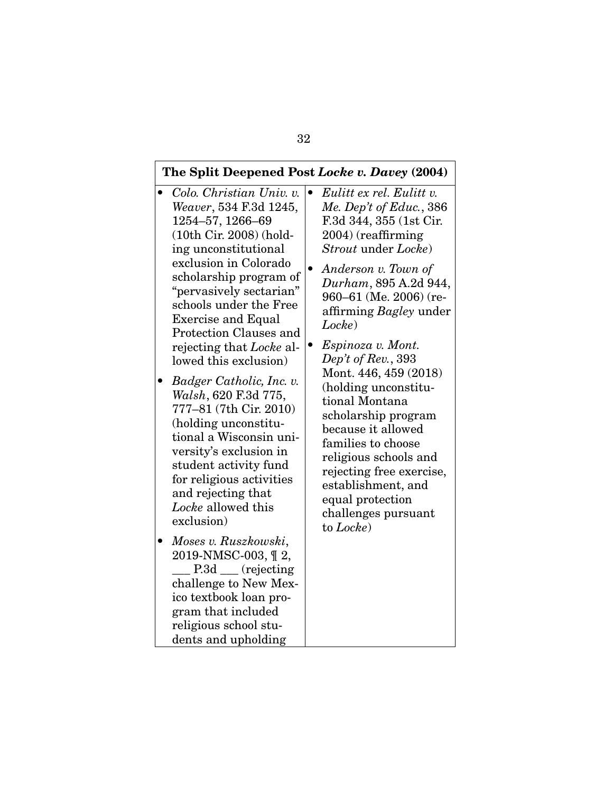#### The Split Deepened Post *Locke v. Davey* (2004) • *Colo. Christian Univ. v. Weaver*, 534 F.3d 1245, 1254–57, 1266–69 (10th Cir. 2008) (holding unconstitutional exclusion in Colorado scholarship program of "pervasively sectarian" schools under the Free Exercise and Equal Protection Clauses and rejecting that *Locke* allowed this exclusion) • *Badger Catholic, Inc. v. Walsh*, 620 F.3d 775, 777–81 (7th Cir. 2010) (holding unconstitutional a Wisconsin university's exclusion in student activity fund for religious activities and rejecting that *Locke* allowed this exclusion) • *Moses v. Ruszkowski*, 2019-NMSC-003, ¶ 2, P.3d <u>\_\_\_</u> (rejecting challenge to New Mexico textbook loan pro-• *Eulitt ex rel. Eulitt v. Me. Dep't of Educ.*, 386 F.3d 344, 355 (1st Cir. 2004) (reaffirming *Strout* under *Locke*) • *Anderson v. Town of Durham*, 895 A.2d 944, 960–61 (Me. 2006) (reaffirming *Bagley* under *Locke*) • *Espinoza v. Mont. Dep't of Rev.*, 393 Mont. 446, 459 (2018) (holding unconstitutional Montana scholarship program because it allowed families to choose religious schools and rejecting free exercise, establishment, and equal protection challenges pursuant to *Locke*)

gram that included religious school students and upholding

### 32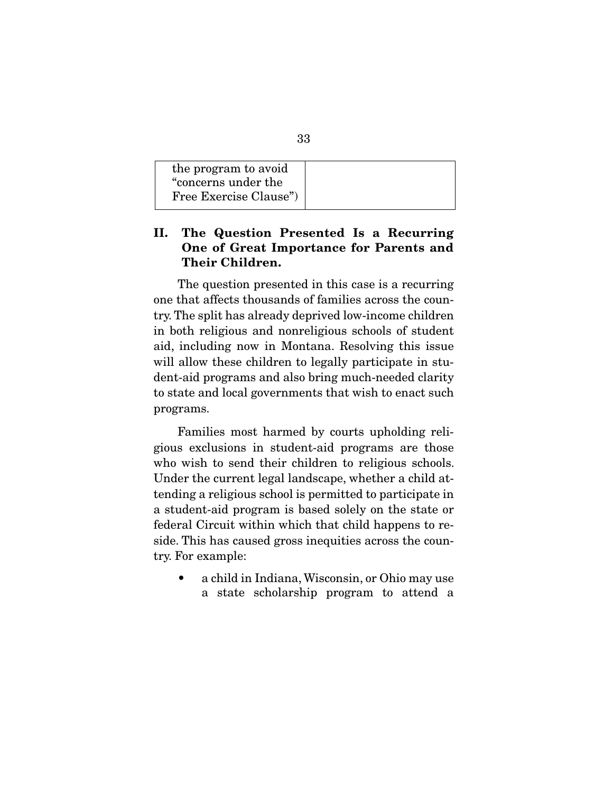## II. The Question Presented Is a Recurring One of Great Importance for Parents and Their Children.

 The question presented in this case is a recurring one that affects thousands of families across the country. The split has already deprived low-income children in both religious and nonreligious schools of student aid, including now in Montana. Resolving this issue will allow these children to legally participate in student-aid programs and also bring much-needed clarity to state and local governments that wish to enact such programs.

 Families most harmed by courts upholding religious exclusions in student-aid programs are those who wish to send their children to religious schools. Under the current legal landscape, whether a child attending a religious school is permitted to participate in a student-aid program is based solely on the state or federal Circuit within which that child happens to reside. This has caused gross inequities across the country. For example:

• a child in Indiana, Wisconsin, or Ohio may use a state scholarship program to attend a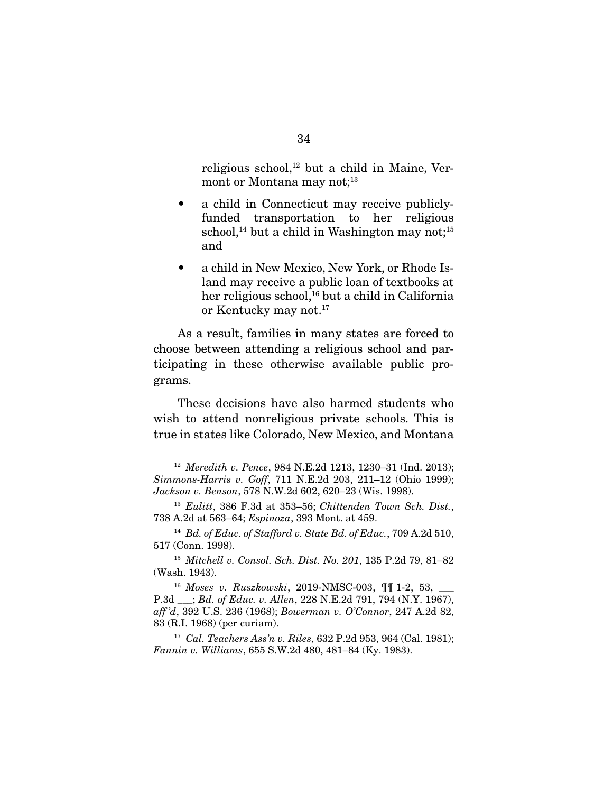religious school, $^{12}$  but a child in Maine, Vermont or Montana may not;<sup>13</sup>

- a child in Connecticut may receive publiclyfunded transportation to her religious school,<sup>14</sup> but a child in Washington may not;<sup>15</sup> and
- a child in New Mexico, New York, or Rhode Island may receive a public loan of textbooks at her religious school,<sup>16</sup> but a child in California or Kentucky may not.<sup>17</sup>

 As a result, families in many states are forced to choose between attending a religious school and participating in these otherwise available public programs.

 These decisions have also harmed students who wish to attend nonreligious private schools. This is true in states like Colorado, New Mexico, and Montana

<sup>12</sup> *Meredith v. Pence*, 984 N.E.2d 1213, 1230–31 (Ind. 2013); *Simmons-Harris v. Goff*, 711 N.E.2d 203, 211–12 (Ohio 1999); *Jackson v. Benson*, 578 N.W.2d 602, 620–23 (Wis. 1998).

<sup>13</sup> *Eulitt*, 386 F.3d at 353–56; *Chittenden Town Sch. Dist.*, 738 A.2d at 563–64; *Espinoza*, 393 Mont. at 459.

<sup>14</sup> *Bd. of Educ. of Stafford v. State Bd. of Educ.*, 709 A.2d 510, 517 (Conn. 1998).

<sup>15</sup> *Mitchell v. Consol. Sch. Dist. No. 201*, 135 P.2d 79, 81–82 (Wash. 1943).

<sup>16</sup> *Moses v. Ruszkowski*, 2019-NMSC-003, ¶¶ 1-2, 53, \_\_\_ P.3d \_\_\_; *Bd. of Educ. v. Allen*, 228 N.E.2d 791, 794 (N.Y. 1967), *aff 'd*, 392 U.S. 236 (1968); *Bowerman v. O'Connor*, 247 A.2d 82, 83 (R.I. 1968) (per curiam).

<sup>17</sup> *Cal. Teachers Ass'n v. Riles*, 632 P.2d 953, 964 (Cal. 1981); *Fannin v. Williams*, 655 S.W.2d 480, 481–84 (Ky. 1983).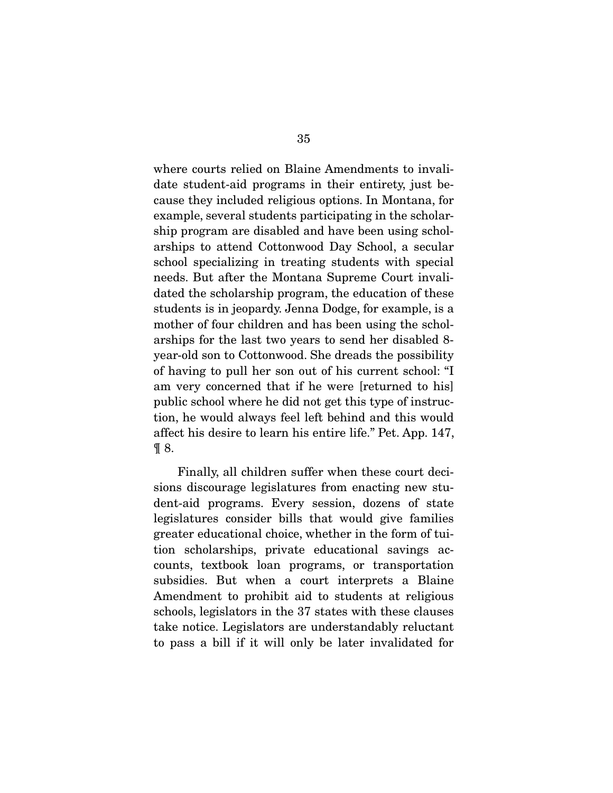where courts relied on Blaine Amendments to invalidate student-aid programs in their entirety, just because they included religious options. In Montana, for example, several students participating in the scholarship program are disabled and have been using scholarships to attend Cottonwood Day School, a secular school specializing in treating students with special needs. But after the Montana Supreme Court invalidated the scholarship program, the education of these students is in jeopardy. Jenna Dodge, for example, is a mother of four children and has been using the scholarships for the last two years to send her disabled 8 year-old son to Cottonwood. She dreads the possibility of having to pull her son out of his current school: "I am very concerned that if he were [returned to his] public school where he did not get this type of instruction, he would always feel left behind and this would affect his desire to learn his entire life." Pet. App. 147,  $\P 8$ .

 Finally, all children suffer when these court decisions discourage legislatures from enacting new student-aid programs. Every session, dozens of state legislatures consider bills that would give families greater educational choice, whether in the form of tuition scholarships, private educational savings accounts, textbook loan programs, or transportation subsidies. But when a court interprets a Blaine Amendment to prohibit aid to students at religious schools, legislators in the 37 states with these clauses take notice. Legislators are understandably reluctant to pass a bill if it will only be later invalidated for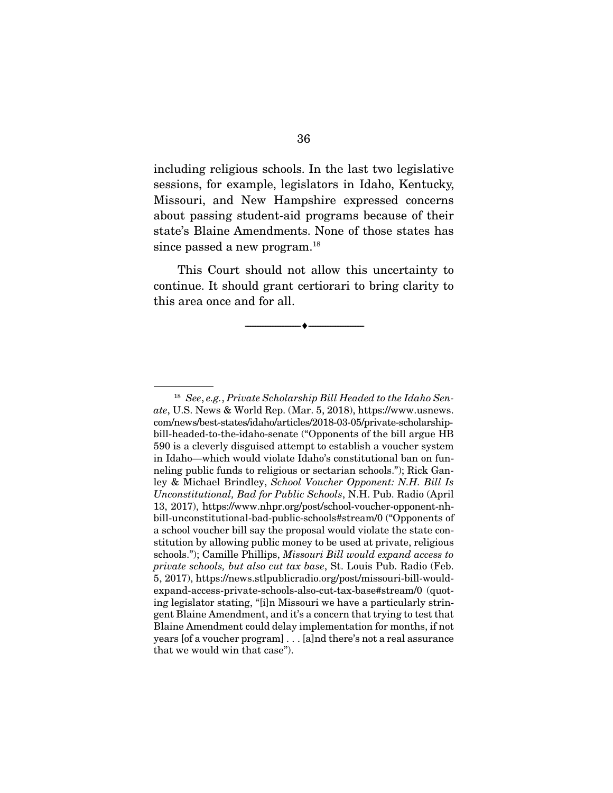including religious schools. In the last two legislative sessions, for example, legislators in Idaho, Kentucky, Missouri, and New Hampshire expressed concerns about passing student-aid programs because of their state's Blaine Amendments. None of those states has since passed a new program.<sup>18</sup>

 This Court should not allow this uncertainty to continue. It should grant certiorari to bring clarity to this area once and for all.

--------------------------------- ---------------------------------

<sup>18</sup> *See*, *e.g.*, *Private Scholarship Bill Headed to the Idaho Senate*, U.S. News & World Rep. (Mar. 5, 2018), https://www.usnews. com/news/best-states/idaho/articles/2018-03-05/private-scholarshipbill-headed-to-the-idaho-senate ("Opponents of the bill argue HB 590 is a cleverly disguised attempt to establish a voucher system in Idaho—which would violate Idaho's constitutional ban on funneling public funds to religious or sectarian schools."); Rick Ganley & Michael Brindley, *School Voucher Opponent: N.H. Bill Is Unconstitutional, Bad for Public Schools*, N.H. Pub. Radio (April 13, 2017), https://www.nhpr.org/post/school-voucher-opponent-nhbill-unconstitutional-bad-public-schools#stream/0 ("Opponents of a school voucher bill say the proposal would violate the state constitution by allowing public money to be used at private, religious schools."); Camille Phillips, *Missouri Bill would expand access to private schools, but also cut tax base*, St. Louis Pub. Radio (Feb. 5, 2017), https://news.stlpublicradio.org/post/missouri-bill-wouldexpand-access-private-schools-also-cut-tax-base#stream/0 (quoting legislator stating, "[i]n Missouri we have a particularly stringent Blaine Amendment, and it's a concern that trying to test that Blaine Amendment could delay implementation for months, if not years [of a voucher program] . . . [a]nd there's not a real assurance that we would win that case").